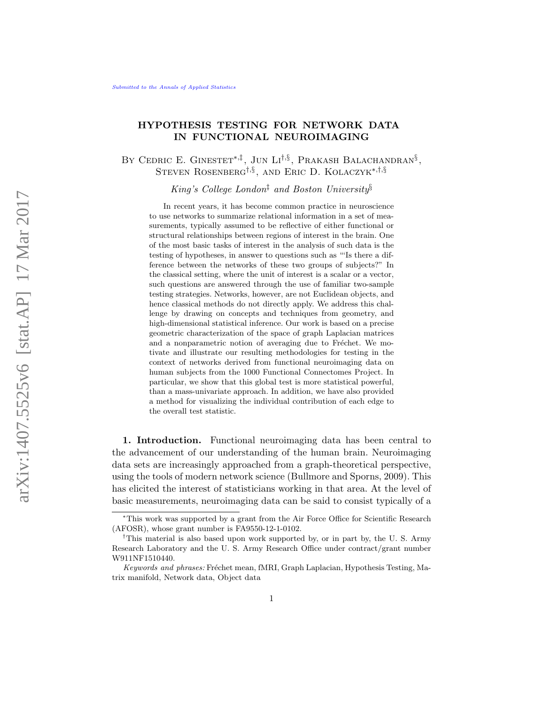## HYPOTHESIS TESTING FOR NETWORK DATA IN FUNCTIONAL NEUROIMAGING

BY CEDRIC E. GINESTET<sup>\*, $\ddagger$ </sup>, JUN LI<sup>[†](#page-0-2),[§](#page-0-3)</sup>, PRAKASH BALACHANDRAN<sup>§</sup>, STEVEN ROSENBERG<sup>[†](#page-0-2),[§](#page-0-3)</sup>, AND ERIC D. KOLACZYK<sup>\*,†,§</sup>

<span id="page-0-3"></span><span id="page-0-1"></span>King's College London<sup>†</sup> and Boston University<sup>§</sup>

In recent years, it has become common practice in neuroscience to use networks to summarize relational information in a set of measurements, typically assumed to be reflective of either functional or structural relationships between regions of interest in the brain. One of the most basic tasks of interest in the analysis of such data is the testing of hypotheses, in answer to questions such as "'Is there a difference between the networks of these two groups of subjects?" In the classical setting, where the unit of interest is a scalar or a vector, such questions are answered through the use of familiar two-sample testing strategies. Networks, however, are not Euclidean objects, and hence classical methods do not directly apply. We address this challenge by drawing on concepts and techniques from geometry, and high-dimensional statistical inference. Our work is based on a precise geometric characterization of the space of graph Laplacian matrices and a nonparametric notion of averaging due to Fréchet. We motivate and illustrate our resulting methodologies for testing in the context of networks derived from functional neuroimaging data on human subjects from the 1000 Functional Connectomes Project. In particular, we show that this global test is more statistical powerful, than a mass-univariate approach. In addition, we have also provided a method for visualizing the individual contribution of each edge to the overall test statistic.

1. Introduction. Functional neuroimaging data has been central to the advancement of our understanding of the human brain. Neuroimaging data sets are increasingly approached from a graph-theoretical perspective, using the tools of modern network science [\(Bullmore and Sporns,](#page-31-0) [2009\)](#page-31-0). This has elicited the interest of statisticians working in that area. At the level of basic measurements, neuroimaging data can be said to consist typically of a

<span id="page-0-0"></span><sup>∗</sup>This work was supported by a grant from the Air Force Office for Scientific Research (AFOSR), whose grant number is FA9550-12-1-0102.

<span id="page-0-2"></span><sup>†</sup>This material is also based upon work supported by, or in part by, the U. S. Army Research Laboratory and the U. S. Army Research Office under contract/grant number W911NF1510440.

Keywords and phrases: Fréchet mean, fMRI, Graph Laplacian, Hypothesis Testing, Matrix manifold, Network data, Object data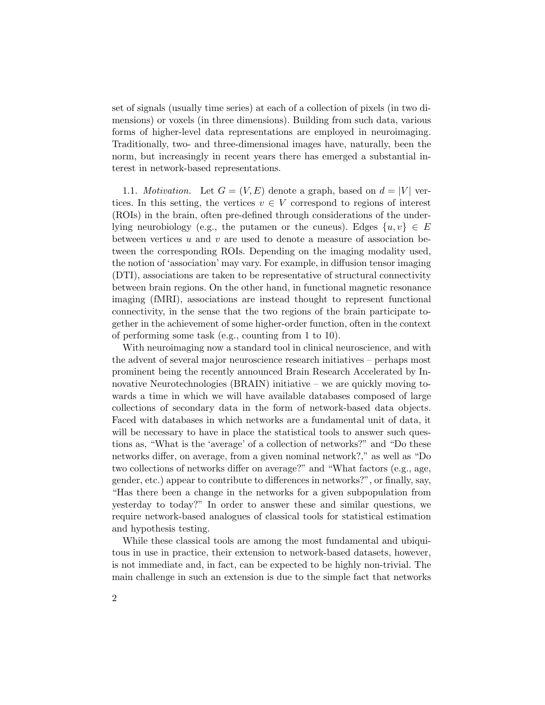set of signals (usually time series) at each of a collection of pixels (in two dimensions) or voxels (in three dimensions). Building from such data, various forms of higher-level data representations are employed in neuroimaging. Traditionally, two- and three-dimensional images have, naturally, been the norm, but increasingly in recent years there has emerged a substantial interest in network-based representations.

1.1. *Motivation*. Let  $G = (V, E)$  denote a graph, based on  $d = |V|$  vertices. In this setting, the vertices  $v \in V$  correspond to regions of interest (ROIs) in the brain, often pre-defined through considerations of the underlying neurobiology (e.g., the putamen or the cuneus). Edges  $\{u, v\} \in E$ between vertices  $u$  and  $v$  are used to denote a measure of association between the corresponding ROIs. Depending on the imaging modality used, the notion of 'association' may vary. For example, in diffusion tensor imaging (DTI), associations are taken to be representative of structural connectivity between brain regions. On the other hand, in functional magnetic resonance imaging (fMRI), associations are instead thought to represent functional connectivity, in the sense that the two regions of the brain participate together in the achievement of some higher-order function, often in the context of performing some task (e.g., counting from 1 to 10).

With neuroimaging now a standard tool in clinical neuroscience, and with the advent of several major neuroscience research initiatives – perhaps most prominent being the recently announced Brain Research Accelerated by Innovative Neurotechnologies (BRAIN) initiative – we are quickly moving towards a time in which we will have available databases composed of large collections of secondary data in the form of network-based data objects. Faced with databases in which networks are a fundamental unit of data, it will be necessary to have in place the statistical tools to answer such questions as, "What is the 'average' of a collection of networks?" and "Do these networks differ, on average, from a given nominal network?," as well as "Do two collections of networks differ on average?" and "What factors (e.g., age, gender, etc.) appear to contribute to differences in networks?", or finally, say, "Has there been a change in the networks for a given subpopulation from yesterday to today?" In order to answer these and similar questions, we require network-based analogues of classical tools for statistical estimation and hypothesis testing.

While these classical tools are among the most fundamental and ubiquitous in use in practice, their extension to network-based datasets, however, is not immediate and, in fact, can be expected to be highly non-trivial. The main challenge in such an extension is due to the simple fact that networks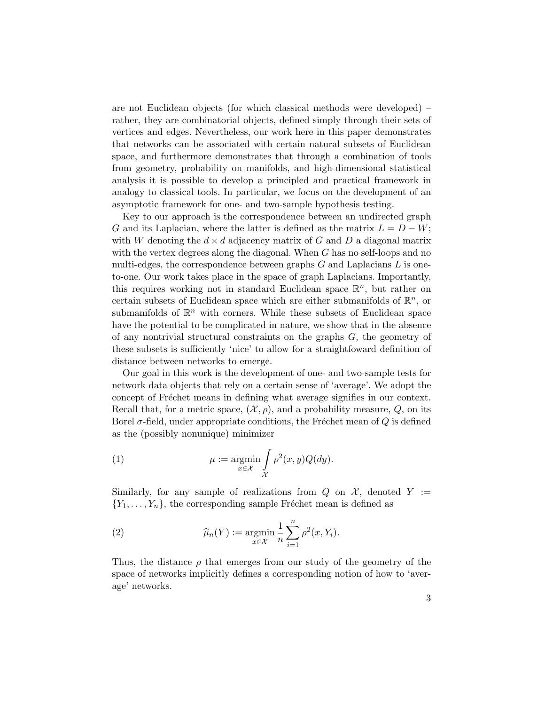are not Euclidean objects (for which classical methods were developed) – rather, they are combinatorial objects, defined simply through their sets of vertices and edges. Nevertheless, our work here in this paper demonstrates that networks can be associated with certain natural subsets of Euclidean space, and furthermore demonstrates that through a combination of tools from geometry, probability on manifolds, and high-dimensional statistical analysis it is possible to develop a principled and practical framework in analogy to classical tools. In particular, we focus on the development of an asymptotic framework for one- and two-sample hypothesis testing.

Key to our approach is the correspondence between an undirected graph G and its Laplacian, where the latter is defined as the matrix  $L = D - W$ ; with W denoting the  $d \times d$  adjacency matrix of G and D a diagonal matrix with the vertex degrees along the diagonal. When  $G$  has no self-loops and no multi-edges, the correspondence between graphs  $G$  and Laplacians  $L$  is oneto-one. Our work takes place in the space of graph Laplacians. Importantly, this requires working not in standard Euclidean space  $\mathbb{R}^n$ , but rather on certain subsets of Euclidean space which are either submanifolds of  $\mathbb{R}^n$ , or submanifolds of  $\mathbb{R}^n$  with corners. While these subsets of Euclidean space have the potential to be complicated in nature, we show that in the absence of any nontrivial structural constraints on the graphs G, the geometry of these subsets is sufficiently 'nice' to allow for a straightfoward definition of distance between networks to emerge.

Our goal in this work is the development of one- and two-sample tests for network data objects that rely on a certain sense of 'average'. We adopt the concept of Fréchet means in defining what average signifies in our context. Recall that, for a metric space,  $(\mathcal{X}, \rho)$ , and a probability measure,  $Q$ , on its Borel  $\sigma$ -field, under appropriate conditions, the Fréchet mean of  $Q$  is defined as the (possibly nonunique) minimizer

<span id="page-2-0"></span>(1) 
$$
\mu := \underset{x \in \mathcal{X}}{\operatorname{argmin}} \int_{\mathcal{X}} \rho^2(x, y) Q(dy).
$$

Similarly, for any sample of realizations from  $Q$  on  $\mathcal{X}$ , denoted  $Y :=$  ${Y_1, \ldots, Y_n}$ , the corresponding sample Fréchet mean is defined as

<span id="page-2-1"></span>(2) 
$$
\widehat{\mu}_n(Y) := \underset{x \in \mathcal{X}}{\operatorname{argmin}} \frac{1}{n} \sum_{i=1}^n \rho^2(x, Y_i).
$$

Thus, the distance  $\rho$  that emerges from our study of the geometry of the space of networks implicitly defines a corresponding notion of how to 'average' networks.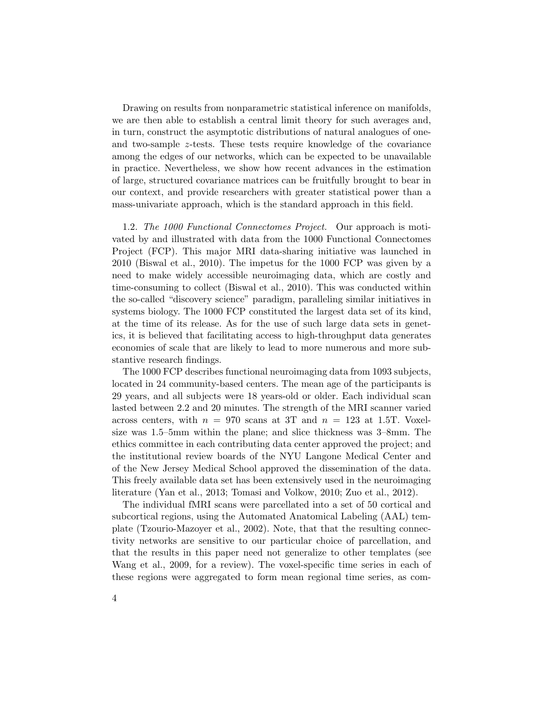Drawing on results from nonparametric statistical inference on manifolds, we are then able to establish a central limit theory for such averages and, in turn, construct the asymptotic distributions of natural analogues of oneand two-sample z-tests. These tests require knowledge of the covariance among the edges of our networks, which can be expected to be unavailable in practice. Nevertheless, we show how recent advances in the estimation of large, structured covariance matrices can be fruitfully brought to bear in our context, and provide researchers with greater statistical power than a mass-univariate approach, which is the standard approach in this field.

<span id="page-3-0"></span>1.2. The 1000 Functional Connectomes Project. Our approach is motivated by and illustrated with data from the 1000 Functional Connectomes Project (FCP). This major MRI data-sharing initiative was launched in 2010 [\(Biswal et al.,](#page-30-0) [2010\)](#page-30-0). The impetus for the 1000 FCP was given by a need to make widely accessible neuroimaging data, which are costly and time-consuming to collect [\(Biswal et al.,](#page-30-0) [2010\)](#page-30-0). This was conducted within the so-called "discovery science" paradigm, paralleling similar initiatives in systems biology. The 1000 FCP constituted the largest data set of its kind, at the time of its release. As for the use of such large data sets in genetics, it is believed that facilitating access to high-throughput data generates economies of scale that are likely to lead to more numerous and more substantive research findings.

The 1000 FCP describes functional neuroimaging data from 1093 subjects, located in 24 community-based centers. The mean age of the participants is 29 years, and all subjects were 18 years-old or older. Each individual scan lasted between 2.2 and 20 minutes. The strength of the MRI scanner varied across centers, with  $n = 970$  scans at 3T and  $n = 123$  at 1.5T. Voxelsize was 1.5–5mm within the plane; and slice thickness was 3–8mm. The ethics committee in each contributing data center approved the project; and the institutional review boards of the NYU Langone Medical Center and of the New Jersey Medical School approved the dissemination of the data. This freely available data set has been extensively used in the neuroimaging literature [\(Yan et al.,](#page-33-0) [2013;](#page-33-0) [Tomasi and Volkow,](#page-33-1) [2010;](#page-33-1) [Zuo et al.,](#page-33-2) [2012\)](#page-33-2).

The individual fMRI scans were parcellated into a set of 50 cortical and subcortical regions, using the Automated Anatomical Labeling (AAL) template [\(Tzourio-Mazoyer et al.,](#page-33-3) [2002\)](#page-33-3). Note, that that the resulting connectivity networks are sensitive to our particular choice of parcellation, and that the results in this paper need not generalize to other templates (see [Wang et al.,](#page-33-4) [2009,](#page-33-4) for a review). The voxel-specific time series in each of these regions were aggregated to form mean regional time series, as com-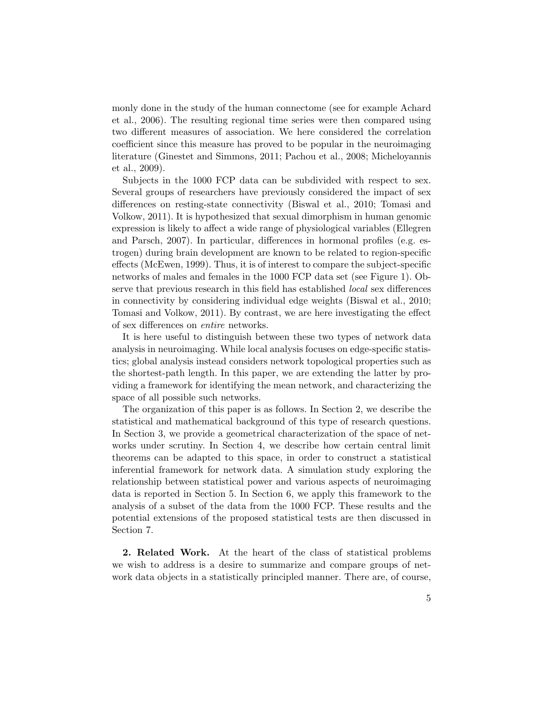monly done in the study of the human connectome (see for example [Achard](#page-30-1) [et al.,](#page-30-1) [2006\)](#page-30-1). The resulting regional time series were then compared using two different measures of association. We here considered the correlation coefficient since this measure has proved to be popular in the neuroimaging literature [\(Ginestet and Simmons,](#page-31-1) [2011;](#page-31-1) [Pachou et al.,](#page-32-0) [2008;](#page-32-0) [Micheloyannis](#page-32-1) [et al.,](#page-32-1) [2009\)](#page-32-1).

Subjects in the 1000 FCP data can be subdivided with respect to sex. Several groups of researchers have previously considered the impact of sex differences on resting-state connectivity [\(Biswal et al.,](#page-30-0) [2010;](#page-30-0) [Tomasi and](#page-33-5) [Volkow,](#page-33-5) [2011\)](#page-33-5). It is hypothesized that sexual dimorphism in human genomic expression is likely to affect a wide range of physiological variables [\(Ellegren](#page-31-2) [and Parsch,](#page-31-2) [2007\)](#page-31-2). In particular, differences in hormonal profiles (e.g. estrogen) during brain development are known to be related to region-specific effects [\(McEwen,](#page-32-2) [1999\)](#page-32-2). Thus, it is of interest to compare the subject-specific networks of males and females in the 1000 FCP data set (see Figure [1\)](#page-5-0). Observe that previous research in this field has established local sex differences in connectivity by considering individual edge weights [\(Biswal et al.,](#page-30-0) [2010;](#page-30-0) [Tomasi and Volkow,](#page-33-5) [2011\)](#page-33-5). By contrast, we are here investigating the effect of sex differences on entire networks.

It is here useful to distinguish between these two types of network data analysis in neuroimaging. While local analysis focuses on edge-specific statistics; global analysis instead considers network topological properties such as the shortest-path length. In this paper, we are extending the latter by providing a framework for identifying the mean network, and characterizing the space of all possible such networks.

The organization of this paper is as follows. In Section [2,](#page-4-0) we describe the statistical and mathematical background of this type of research questions. In Section [3,](#page-7-0) we provide a geometrical characterization of the space of networks under scrutiny. In Section [4,](#page-10-0) we describe how certain central limit theorems can be adapted to this space, in order to construct a statistical inferential framework for network data. A simulation study exploring the relationship between statistical power and various aspects of neuroimaging data is reported in Section [5.](#page-15-0) In Section [6,](#page-18-0) we apply this framework to the analysis of a subset of the data from the 1000 FCP. These results and the potential extensions of the proposed statistical tests are then discussed in Section [7.](#page-21-0)

<span id="page-4-0"></span>2. Related Work. At the heart of the class of statistical problems we wish to address is a desire to summarize and compare groups of network data objects in a statistically principled manner. There are, of course,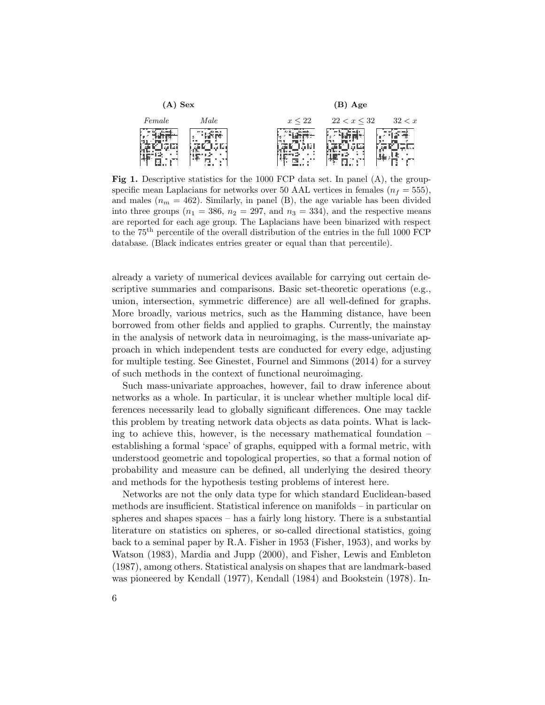<span id="page-5-0"></span>

Fig 1. Descriptive statistics for the 1000 FCP data set. In panel (A), the groupspecific mean Laplacians for networks over 50 AAL vertices in females ( $n_f = 555$ ), and males  $(n_m = 462)$ . Similarly, in panel (B), the age variable has been divided into three groups  $(n_1 = 386, n_2 = 297, \text{ and } n_3 = 334)$ , and the respective means are reported for each age group. The Laplacians have been binarized with respect to the 75th percentile of the overall distribution of the entries in the full 1000 FCP database. (Black indicates entries greater or equal than that percentile).

already a variety of numerical devices available for carrying out certain descriptive summaries and comparisons. Basic set-theoretic operations (e.g., union, intersection, symmetric difference) are all well-defined for graphs. More broadly, various metrics, such as the Hamming distance, have been borrowed from other fields and applied to graphs. Currently, the mainstay in the analysis of network data in neuroimaging, is the mass-univariate approach in which independent tests are conducted for every edge, adjusting for multiple testing. See [Ginestet, Fournel and Simmons](#page-31-3) [\(2014\)](#page-31-3) for a survey of such methods in the context of functional neuroimaging.

Such mass-univariate approaches, however, fail to draw inference about networks as a whole. In particular, it is unclear whether multiple local differences necessarily lead to globally significant differences. One may tackle this problem by treating network data objects as data points. What is lacking to achieve this, however, is the necessary mathematical foundation – establishing a formal 'space' of graphs, equipped with a formal metric, with understood geometric and topological properties, so that a formal notion of probability and measure can be defined, all underlying the desired theory and methods for the hypothesis testing problems of interest here.

Networks are not the only data type for which standard Euclidean-based methods are insufficient. Statistical inference on manifolds – in particular on spheres and shapes spaces – has a fairly long history. There is a substantial literature on statistics on spheres, or so-called directional statistics, going back to a seminal paper by R.A. Fisher in 1953 [\(Fisher,](#page-31-4) [1953\)](#page-31-4), and works by [Watson](#page-33-6) [\(1983\)](#page-33-6), [Mardia and Jupp](#page-32-3) [\(2000\)](#page-32-3), and [Fisher, Lewis and Embleton](#page-31-5) [\(1987\)](#page-31-5), among others. Statistical analysis on shapes that are landmark-based was pioneered by [Kendall](#page-32-4) [\(1977\)](#page-32-4), [Kendall](#page-32-5) [\(1984\)](#page-32-5) and [Bookstein](#page-31-6) [\(1978\)](#page-31-6). In-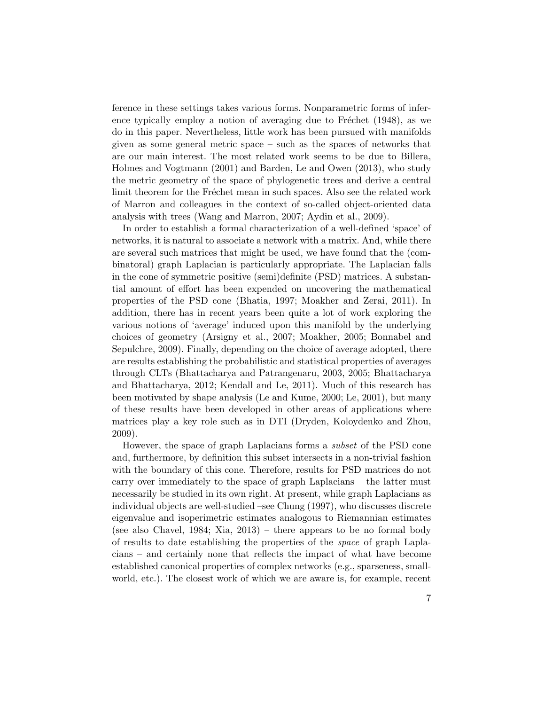ference in these settings takes various forms. Nonparametric forms of inference typically employ a notion of averaging due to Fréchet  $(1948)$ , as we do in this paper. Nevertheless, little work has been pursued with manifolds given as some general metric space – such as the spaces of networks that are our main interest. The most related work seems to be due to [Billera,](#page-30-2) [Holmes and Vogtmann](#page-30-2) [\(2001\)](#page-30-2) and [Barden, Le and Owen](#page-30-3) [\(2013\)](#page-30-3), who study the metric geometry of the space of phylogenetic trees and derive a central limit theorem for the Fréchet mean in such spaces. Also see the related work of Marron and colleagues in the context of so-called object-oriented data analysis with trees [\(Wang and Marron,](#page-33-7) [2007;](#page-33-7) [Aydin et al.,](#page-30-4) [2009\)](#page-30-4).

In order to establish a formal characterization of a well-defined 'space' of networks, it is natural to associate a network with a matrix. And, while there are several such matrices that might be used, we have found that the (combinatoral) graph Laplacian is particularly appropriate. The Laplacian falls in the cone of symmetric positive (semi)definite (PSD) matrices. A substantial amount of effort has been expended on uncovering the mathematical properties of the PSD cone [\(Bhatia,](#page-30-5) [1997;](#page-30-5) [Moakher and Zerai,](#page-32-6) [2011\)](#page-32-6). In addition, there has in recent years been quite a lot of work exploring the various notions of 'average' induced upon this manifold by the underlying choices of geometry [\(Arsigny et al.,](#page-30-6) [2007;](#page-30-6) [Moakher,](#page-32-7) [2005;](#page-32-7) [Bonnabel and](#page-31-8) [Sepulchre,](#page-31-8) [2009\)](#page-31-8). Finally, depending on the choice of average adopted, there are results establishing the probabilistic and statistical properties of averages through CLTs [\(Bhattacharya and Patrangenaru,](#page-30-7) [2003,](#page-30-7) [2005;](#page-30-8) [Bhattacharya](#page-30-9) [and Bhattacharya,](#page-30-9) [2012;](#page-30-9) [Kendall and Le,](#page-32-8) [2011\)](#page-32-8). Much of this research has been motivated by shape analysis [\(Le and Kume,](#page-32-9) [2000;](#page-32-9) [Le,](#page-32-10) [2001\)](#page-32-10), but many of these results have been developed in other areas of applications where matrices play a key role such as in DTI [\(Dryden, Koloydenko and Zhou,](#page-31-9) [2009\)](#page-31-9).

However, the space of graph Laplacians forms a subset of the PSD cone and, furthermore, by definition this subset intersects in a non-trivial fashion with the boundary of this cone. Therefore, results for PSD matrices do not carry over immediately to the space of graph Laplacians – the latter must necessarily be studied in its own right. At present, while graph Laplacians as individual objects are well-studied –see [Chung](#page-31-10) [\(1997\)](#page-31-10), who discusses discrete eigenvalue and isoperimetric estimates analogous to Riemannian estimates (see also [Chavel,](#page-31-11) [1984;](#page-31-11) [Xia,](#page-33-8) [2013\)](#page-33-8) – there appears to be no formal body of results to date establishing the properties of the space of graph Laplacians – and certainly none that reflects the impact of what have become established canonical properties of complex networks (e.g., sparseness, smallworld, etc.). The closest work of which we are aware is, for example, recent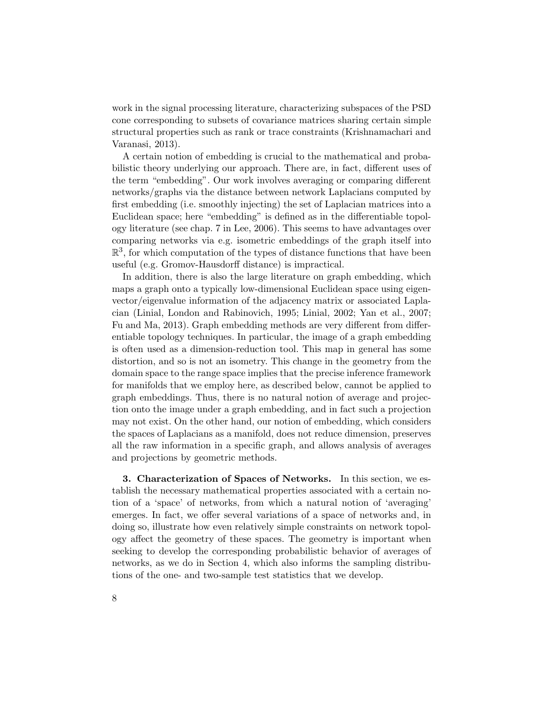work in the signal processing literature, characterizing subspaces of the PSD cone corresponding to subsets of covariance matrices sharing certain simple structural properties such as rank or trace constraints [\(Krishnamachari and](#page-32-11) [Varanasi,](#page-32-11) [2013\)](#page-32-11).

A certain notion of embedding is crucial to the mathematical and probabilistic theory underlying our approach. There are, in fact, different uses of the term "embedding". Our work involves averaging or comparing different networks/graphs via the distance between network Laplacians computed by first embedding (i.e. smoothly injecting) the set of Laplacian matrices into a Euclidean space; here "embedding" is defined as in the differentiable topology literature (see chap. 7 in [Lee,](#page-32-12) [2006\)](#page-32-12). This seems to have advantages over comparing networks via e.g. isometric embeddings of the graph itself into  $\mathbb{R}^3$ , for which computation of the types of distance functions that have been useful (e.g. Gromov-Hausdorff distance) is impractical.

In addition, there is also the large literature on graph embedding, which maps a graph onto a typically low-dimensional Euclidean space using eigenvector/eigenvalue information of the adjacency matrix or associated Laplacian [\(Linial, London and Rabinovich,](#page-32-13) [1995;](#page-32-13) [Linial,](#page-32-14) [2002;](#page-32-14) [Yan et al.,](#page-33-9) [2007;](#page-33-9) [Fu and Ma,](#page-31-12) [2013\)](#page-31-12). Graph embedding methods are very different from differentiable topology techniques. In particular, the image of a graph embedding is often used as a dimension-reduction tool. This map in general has some distortion, and so is not an isometry. This change in the geometry from the domain space to the range space implies that the precise inference framework for manifolds that we employ here, as described below, cannot be applied to graph embeddings. Thus, there is no natural notion of average and projection onto the image under a graph embedding, and in fact such a projection may not exist. On the other hand, our notion of embedding, which considers the spaces of Laplacians as a manifold, does not reduce dimension, preserves all the raw information in a specific graph, and allows analysis of averages and projections by geometric methods.

<span id="page-7-0"></span>3. Characterization of Spaces of Networks. In this section, we establish the necessary mathematical properties associated with a certain notion of a 'space' of networks, from which a natural notion of 'averaging' emerges. In fact, we offer several variations of a space of networks and, in doing so, illustrate how even relatively simple constraints on network topology affect the geometry of these spaces. The geometry is important when seeking to develop the corresponding probabilistic behavior of averages of networks, as we do in Section [4,](#page-10-0) which also informs the sampling distributions of the one- and two-sample test statistics that we develop.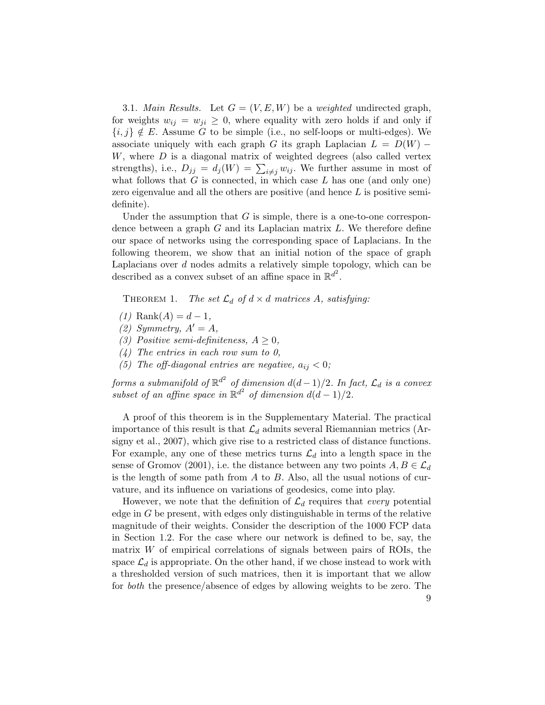3.1. Main Results. Let  $G = (V, E, W)$  be a weighted undirected graph, for weights  $w_{ij} = w_{ji} \geq 0$ , where equality with zero holds if and only if  ${i, j} \notin E$ . Assume G to be simple (i.e., no self-loops or multi-edges). We associate uniquely with each graph G its graph Laplacian  $L = D(W)$  –  $W$ , where  $D$  is a diagonal matrix of weighted degrees (also called vertex strengths), i.e.,  $D_{jj} = d_j(W) = \sum_{i \neq j} w_{ij}$ . We further assume in most of what follows that  $G$  is connected, in which case  $L$  has one (and only one) zero eigenvalue and all the others are positive (and hence L is positive semidefinite).

Under the assumption that  $G$  is simple, there is a one-to-one correspondence between a graph  $G$  and its Laplacian matrix  $L$ . We therefore define our space of networks using the corresponding space of Laplacians. In the following theorem, we show that an initial notion of the space of graph Laplacians over  $d$  nodes admits a relatively simple topology, which can be described as a convex subset of an affine space in  $\mathbb{R}^{d^2}$ .

<span id="page-8-0"></span>THEOREM 1. The set  $\mathcal{L}_d$  of  $d \times d$  matrices A, satisfying:

- (1) Rank $(A) = d 1$ ,
- (2) Symmetry,  $A' = A$ ,
- (3) Positive semi-definiteness,  $A \geq 0$ ,
- $(4)$  The entries in each row sum to 0,
- (5) The off-diagonal entries are negative,  $a_{ij} < 0$ ;

 ${\it forms}$  a submanifold of  $\mathbb{R}^{d^2}$  of dimension  $d(d-1)/2.$  In fact,  $\mathcal{L}_d$  is a convex subset of an affine space in  $\mathbb{R}^{d^2}$  of dimension  $d(d-1)/2$ .

A proof of this theorem is in the Supplementary Material. The practical importance of this result is that  $\mathcal{L}_d$  admits several Riemannian metrics [\(Ar](#page-30-6)[signy et al.,](#page-30-6) [2007\)](#page-30-6), which give rise to a restricted class of distance functions. For example, any one of these metrics turns  $\mathcal{L}_d$  into a length space in the sense of [Gromov](#page-31-13) [\(2001\)](#page-31-13), i.e. the distance between any two points  $A, B \in \mathcal{L}_d$ is the length of some path from  $A$  to  $B$ . Also, all the usual notions of curvature, and its influence on variations of geodesics, come into play.

However, we note that the definition of  $\mathcal{L}_d$  requires that every potential edge in  $G$  be present, with edges only distinguishable in terms of the relative magnitude of their weights. Consider the description of the 1000 FCP data in Section [1.2.](#page-3-0) For the case where our network is defined to be, say, the matrix  $W$  of empirical correlations of signals between pairs of ROIs, the space  $\mathcal{L}_d$  is appropriate. On the other hand, if we chose instead to work with a thresholded version of such matrices, then it is important that we allow for both the presence/absence of edges by allowing weights to be zero. The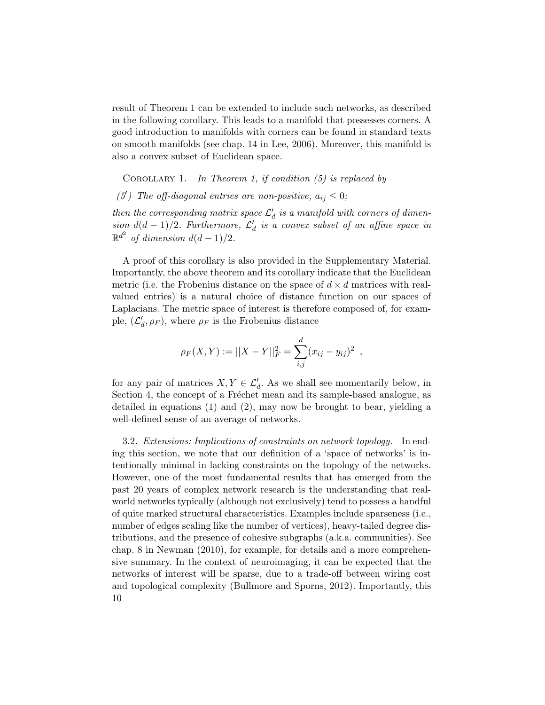result of Theorem [1](#page-8-0) can be extended to include such networks, as described in the following corollary. This leads to a manifold that possesses corners. A good introduction to manifolds with corners can be found in standard texts on smooth manifolds (see chap. 14 in [Lee,](#page-32-12) [2006\)](#page-32-12). Moreover, this manifold is also a convex subset of Euclidean space.

<span id="page-9-0"></span>COROLLARY 1. In Theorem [1,](#page-8-0) if condition  $(5)$  is replaced by

(5) The off-diagonal entries are non-positive,  $a_{ij} \leq 0$ ;

then the corresponding matrix space  $\mathcal{L}'_d$  is a manifold with corners of dimension  $d(d-1)/2$ . Furthermore,  $\mathcal{L}'_d$  is a convex subset of an affine space in  $\mathbb{R}^{d^2}$  of dimension  $d(d-1)/2$ .

A proof of this corollary is also provided in the Supplementary Material. Importantly, the above theorem and its corollary indicate that the Euclidean metric (i.e. the Frobenius distance on the space of  $d \times d$  matrices with realvalued entries) is a natural choice of distance function on our spaces of Laplacians. The metric space of interest is therefore composed of, for example,  $(\mathcal{L}'_d, \rho_F)$ , where  $\rho_F$  is the Frobenius distance

$$
\rho_F(X,Y) := ||X - Y||_F^2 = \sum_{i,j}^d (x_{ij} - y_{ij})^2 ,
$$

for any pair of matrices  $X, Y \in \mathcal{L}'_d$ . As we shall see momentarily below, in Section [4,](#page-10-0) the concept of a Fréchet mean and its sample-based analogue, as detailed in equations [\(1\)](#page-2-0) and [\(2\)](#page-2-1), may now be brought to bear, yielding a well-defined sense of an average of networks.

3.2. Extensions: Implications of constraints on network topology. In ending this section, we note that our definition of a 'space of networks' is intentionally minimal in lacking constraints on the topology of the networks. However, one of the most fundamental results that has emerged from the past 20 years of complex network research is the understanding that realworld networks typically (although not exclusively) tend to possess a handful of quite marked structural characteristics. Examples include sparseness (i.e., number of edges scaling like the number of vertices), heavy-tailed degree distributions, and the presence of cohesive subgraphs (a.k.a. communities). See chap. 8 in [Newman](#page-32-15) [\(2010\)](#page-32-15), for example, for details and a more comprehensive summary. In the context of neuroimaging, it can be expected that the networks of interest will be sparse, due to a trade-off between wiring cost and topological complexity [\(Bullmore and Sporns,](#page-31-14) [2012\)](#page-31-14). Importantly, this 10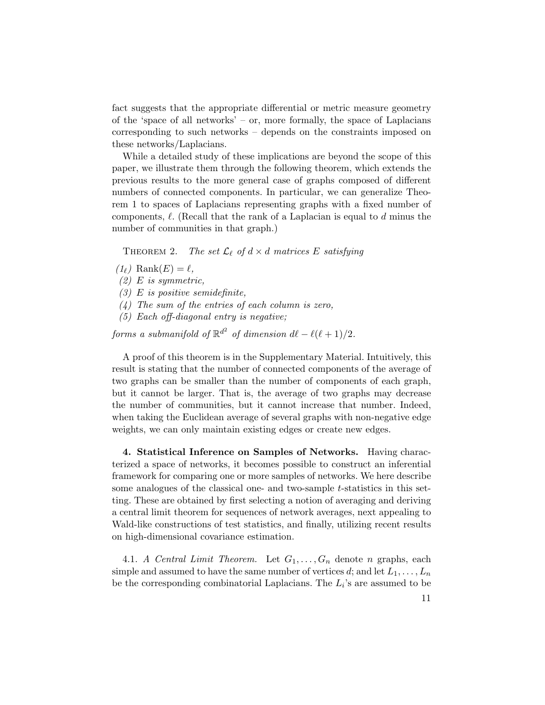fact suggests that the appropriate differential or metric measure geometry of the 'space of all networks' – or, more formally, the space of Laplacians corresponding to such networks – depends on the constraints imposed on these networks/Laplacians.

While a detailed study of these implications are beyond the scope of this paper, we illustrate them through the following theorem, which extends the previous results to the more general case of graphs composed of different numbers of connected components. In particular, we can generalize Theorem [1](#page-8-0) to spaces of Laplacians representing graphs with a fixed number of components,  $\ell$ . (Recall that the rank of a Laplacian is equal to d minus the number of communities in that graph.)

THEOREM 2. The set  $\mathcal{L}_{\ell}$  of  $d \times d$  matrices E satisfying

- $(1_\ell)$  Rank $(E) = \ell,$
- $(2)$  E is symmetric,
- $(3)$  E is positive semidefinite,
- $(4)$  The sum of the entries of each column is zero,
- (5) Each off-diagonal entry is negative;

forms a submanifold of  $\mathbb{R}^{d^2}$  of dimension  $d\ell - \ell(\ell + 1)/2$ .

A proof of this theorem is in the Supplementary Material. Intuitively, this result is stating that the number of connected components of the average of two graphs can be smaller than the number of components of each graph, but it cannot be larger. That is, the average of two graphs may decrease the number of communities, but it cannot increase that number. Indeed, when taking the Euclidean average of several graphs with non-negative edge weights, we can only maintain existing edges or create new edges.

<span id="page-10-0"></span>4. Statistical Inference on Samples of Networks. Having characterized a space of networks, it becomes possible to construct an inferential framework for comparing one or more samples of networks. We here describe some analogues of the classical one- and two-sample  $t$ -statistics in this setting. These are obtained by first selecting a notion of averaging and deriving a central limit theorem for sequences of network averages, next appealing to Wald-like constructions of test statistics, and finally, utilizing recent results on high-dimensional covariance estimation.

4.1. A Central Limit Theorem. Let  $G_1, \ldots, G_n$  denote n graphs, each simple and assumed to have the same number of vertices d; and let  $L_1, \ldots, L_n$ be the corresponding combinatorial Laplacians. The  $L_i$ 's are assumed to be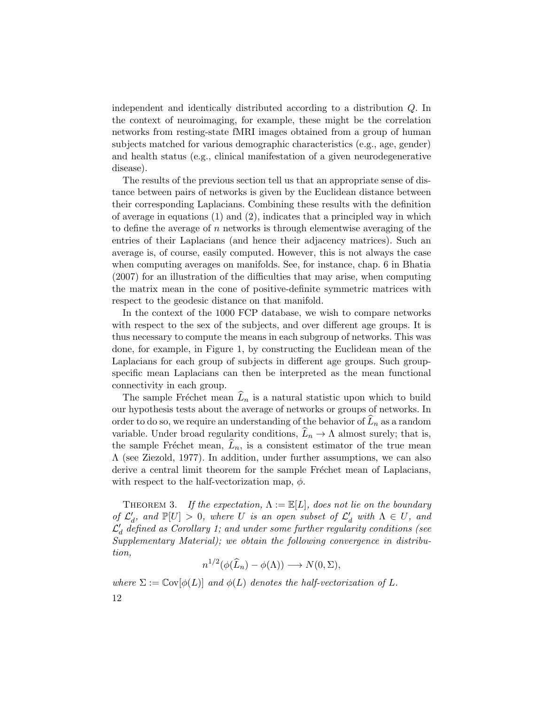independent and identically distributed according to a distribution Q. In the context of neuroimaging, for example, these might be the correlation networks from resting-state fMRI images obtained from a group of human subjects matched for various demographic characteristics (e.g., age, gender) and health status (e.g., clinical manifestation of a given neurodegenerative disease).

The results of the previous section tell us that an appropriate sense of distance between pairs of networks is given by the Euclidean distance between their corresponding Laplacians. Combining these results with the definition of average in equations  $(1)$  and  $(2)$ , indicates that a principled way in which to define the average of n networks is through elementwise averaging of the entries of their Laplacians (and hence their adjacency matrices). Such an average is, of course, easily computed. However, this is not always the case when computing averages on manifolds. See, for instance, chap. 6 in [Bhatia](#page-30-10) [\(2007\)](#page-30-10) for an illustration of the difficulties that may arise, when computing the matrix mean in the cone of positive-definite symmetric matrices with respect to the geodesic distance on that manifold.

In the context of the 1000 FCP database, we wish to compare networks with respect to the sex of the subjects, and over different age groups. It is thus necessary to compute the means in each subgroup of networks. This was done, for example, in Figure [1,](#page-5-0) by constructing the Euclidean mean of the Laplacians for each group of subjects in different age groups. Such groupspecific mean Laplacians can then be interpreted as the mean functional connectivity in each group.

The sample Fréchet mean  $\widehat{L}_n$  is a natural statistic upon which to build our hypothesis tests about the average of networks or groups of networks. In order to do so, we require an understanding of the behavior of  $\widehat{L}_n$  as a random variable. Under broad regularity conditions,  $L_n \to \Lambda$  almost surely; that is, the sample Fréchet mean,  $\hat{L}_n$ , is a consistent estimator of the true mean  $\Lambda$  (see [Ziezold,](#page-33-10) [1977\)](#page-33-10). In addition, under further assumptions, we can also derive a central limit theorem for the sample Fréchet mean of Laplacians, with respect to the half-vectorization map,  $\phi$ .

<span id="page-11-0"></span>THEOREM 3. If the expectation,  $\Lambda := \mathbb{E}[L]$ , does not lie on the boundary of  $\mathcal{L}'_d$ , and  $\mathbb{P}[U] > 0$ , where U is an open subset of  $\mathcal{L}'_d$  with  $\Lambda \in U$ , and  $\mathcal{L}'_d$  defined as Corollary [1;](#page-9-0) and under some further regularity conditions (see Supplementary Material); we obtain the following convergence in distribution,

<span id="page-11-1"></span>
$$
n^{1/2}(\phi(\widehat{L}_n) - \phi(\Lambda)) \longrightarrow N(0, \Sigma),
$$

where  $\Sigma := \text{Cov}[\phi(L)]$  and  $\phi(L)$  denotes the half-vectorization of L.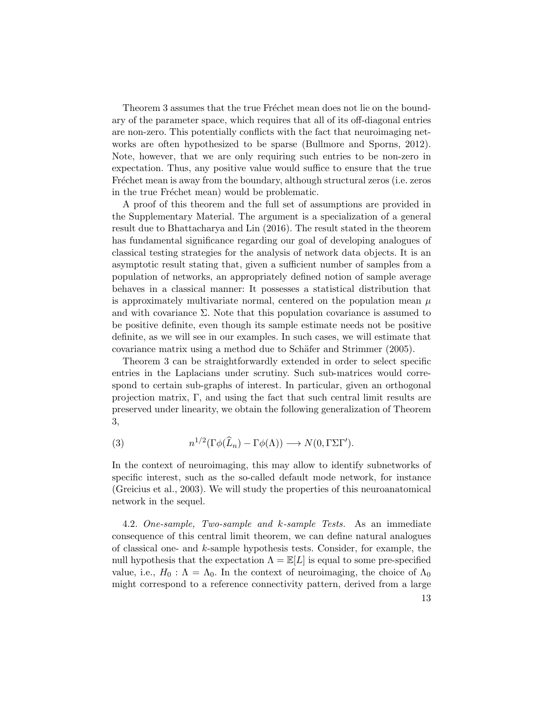Theorem [3](#page-11-0) assumes that the true Fréchet mean does not lie on the boundary of the parameter space, which requires that all of its off-diagonal entries are non-zero. This potentially conflicts with the fact that neuroimaging networks are often hypothesized to be sparse [\(Bullmore and Sporns,](#page-31-14) [2012\)](#page-31-14). Note, however, that we are only requiring such entries to be non-zero in expectation. Thus, any positive value would suffice to ensure that the true Fréchet mean is away from the boundary, although structural zeros (i.e. zeros in the true Fréchet mean) would be problematic.

A proof of this theorem and the full set of assumptions are provided in the Supplementary Material. The argument is a specialization of a general result due to [Bhattacharya and Lin](#page-30-11) [\(2016\)](#page-30-11). The result stated in the theorem has fundamental significance regarding our goal of developing analogues of classical testing strategies for the analysis of network data objects. It is an asymptotic result stating that, given a sufficient number of samples from a population of networks, an appropriately defined notion of sample average behaves in a classical manner: It possesses a statistical distribution that is approximately multivariate normal, centered on the population mean  $\mu$ and with covariance  $\Sigma$ . Note that this population covariance is assumed to be positive definite, even though its sample estimate needs not be positive definite, as we will see in our examples. In such cases, we will estimate that covariance matrix using a method due to Schäfer and Strimmer [\(2005\)](#page-32-16).

Theorem [3](#page-11-0) can be straightforwardly extended in order to select specific entries in the Laplacians under scrutiny. Such sub-matrices would correspond to certain sub-graphs of interest. In particular, given an orthogonal projection matrix, Γ, and using the fact that such central limit results are preserved under linearity, we obtain the following generalization of Theorem [3,](#page-11-0)

(3) 
$$
n^{1/2}(\Gamma\phi(\widehat{L}_n)-\Gamma\phi(\Lambda))\longrightarrow N(0,\Gamma\Sigma\Gamma').
$$

In the context of neuroimaging, this may allow to identify subnetworks of specific interest, such as the so-called default mode network, for instance [\(Greicius et al.,](#page-31-15) [2003\)](#page-31-15). We will study the properties of this neuroanatomical network in the sequel.

4.2. One-sample, Two-sample and k-sample Tests. As an immediate consequence of this central limit theorem, we can define natural analogues of classical one- and k-sample hypothesis tests. Consider, for example, the null hypothesis that the expectation  $\Lambda = \mathbb{E}[L]$  is equal to some pre-specified value, i.e.,  $H_0: \Lambda = \Lambda_0$ . In the context of neuroimaging, the choice of  $\Lambda_0$ might correspond to a reference connectivity pattern, derived from a large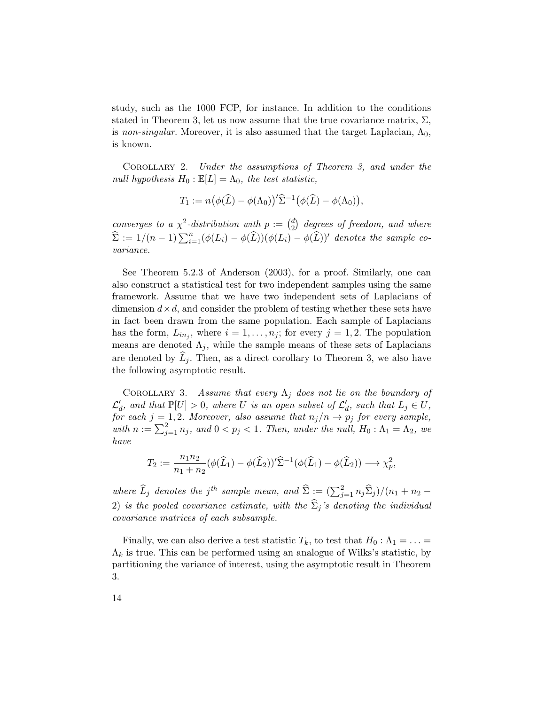study, such as the 1000 FCP, for instance. In addition to the conditions stated in Theorem [3,](#page-11-0) let us now assume that the true covariance matrix,  $\Sigma$ , is non-singular. Moreover, it is also assumed that the target Laplacian,  $\Lambda_0$ , is known.

Corollary 2. Under the assumptions of Theorem [3,](#page-11-0) and under the null hypothesis  $H_0 : \mathbb{E}[L] = \Lambda_0$ , the test statistic,

$$
T_1 := n(\phi(\widehat{L}) - \phi(\Lambda_0))'\widehat{\Sigma}^{-1}(\phi(\widehat{L}) - \phi(\Lambda_0)),
$$

converges to a  $\chi^2$ -distribution with  $p := \binom{d}{2}$  $\stackrel{d}{\text{2}}$  degrees of freedom, and where  $\widehat{\Sigma} := 1/(n-1)\sum_{i=1}^n (\phi(L_i) - \phi(\widehat{L}))(\phi(L_i) - \phi(\widehat{L}))'$  denotes the sample covariance.

See Theorem 5.2.3 of [Anderson](#page-30-12) [\(2003\)](#page-30-12), for a proof. Similarly, one can also construct a statistical test for two independent samples using the same framework. Assume that we have two independent sets of Laplacians of dimension  $d \times d$ , and consider the problem of testing whether these sets have in fact been drawn from the same population. Each sample of Laplacians has the form,  $L_{in_j}$ , where  $i = 1, \ldots, n_j$ ; for every  $j = 1, 2$ . The population means are denoted  $\Lambda_j$ , while the sample means of these sets of Laplacians are denoted by  $L_j$ . Then, as a direct corollary to Theorem [3,](#page-11-0) we also have the following asymptotic result.

<span id="page-13-0"></span>COROLLARY 3. Assume that every  $\Lambda_j$  does not lie on the boundary of  $\mathcal{L}'_d$ , and that  $\mathbb{P}[U] > 0$ , where U is an open subset of  $\mathcal{L}'_d$ , such that  $L_j \in U$ , for each  $j = 1, 2$ . Moreover, also assume that  $n_j/n \rightarrow p_j$  for every sample, with  $n := \sum_{j=1}^2 n_j$ , and  $0 < p_j < 1$ . Then, under the null,  $H_0: \Lambda_1 = \Lambda_2$ , we have

$$
T_2 := \frac{n_1 n_2}{n_1 + n_2} (\phi(\widehat{L}_1) - \phi(\widehat{L}_2))' \widehat{\Sigma}^{-1} (\phi(\widehat{L}_1) - \phi(\widehat{L}_2)) \longrightarrow \chi_p^2,
$$

where  $\widehat{L}_j$  denotes the j<sup>th</sup> sample mean, and  $\widehat{\Sigma} := (\sum_{j=1}^2 n_j \widehat{\Sigma}_j)/(n_1 + n_2 - \widehat{\Sigma}_j)$ 2) is the pooled covariance estimate, with the  $\hat{\Sigma}_j$ 's denoting the individual covariance matrices of each subsample.

Finally, we can also derive a test statistic  $T_k$ , to test that  $H_0 : \Lambda_1 = \ldots =$  $\Lambda_k$  is true. This can be performed using an analogue of Wilks's statistic, by partitioning the variance of interest, using the asymptotic result in Theorem [3.](#page-11-0)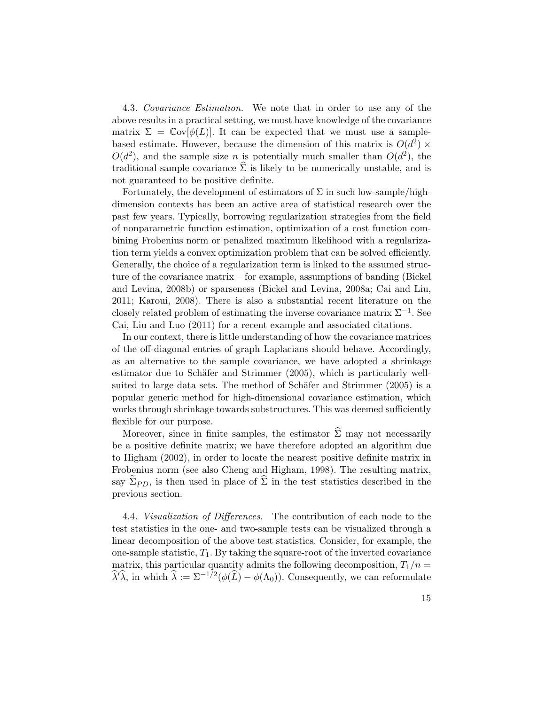<span id="page-14-0"></span>4.3. Covariance Estimation. We note that in order to use any of the above results in a practical setting, we must have knowledge of the covariance matrix  $\Sigma = \text{Cov}[\phi(L)]$ . It can be expected that we must use a samplebased estimate. However, because the dimension of this matrix is  $O(d^2)$  ×  $O(d^2)$ , and the sample size *n* is potentially much smaller than  $O(d^2)$ , the traditional sample covariance  $\hat{\Sigma}$  is likely to be numerically unstable, and is not guaranteed to be positive definite.

Fortunately, the development of estimators of  $\Sigma$  in such low-sample/highdimension contexts has been an active area of statistical research over the past few years. Typically, borrowing regularization strategies from the field of nonparametric function estimation, optimization of a cost function combining Frobenius norm or penalized maximum likelihood with a regularization term yields a convex optimization problem that can be solved efficiently. Generally, the choice of a regularization term is linked to the assumed structure of the covariance matrix – for example, assumptions of banding [\(Bickel](#page-30-13) [and Levina,](#page-30-13) [2008b\)](#page-30-13) or sparseness [\(Bickel and Levina,](#page-30-14) [2008a;](#page-30-14) [Cai and Liu,](#page-31-16) [2011;](#page-31-16) [Karoui,](#page-32-17) [2008\)](#page-32-17). There is also a substantial recent literature on the closely related problem of estimating the inverse covariance matrix  $\Sigma^{-1}$ . See [Cai, Liu and Luo](#page-31-17) [\(2011\)](#page-31-17) for a recent example and associated citations.

In our context, there is little understanding of how the covariance matrices of the off-diagonal entries of graph Laplacians should behave. Accordingly, as an alternative to the sample covariance, we have adopted a shrinkage estimator due to Schäfer and Strimmer [\(2005\)](#page-32-16), which is particularly well-suited to large data sets. The method of Schäfer and Strimmer [\(2005\)](#page-32-16) is a popular generic method for high-dimensional covariance estimation, which works through shrinkage towards substructures. This was deemed sufficiently flexible for our purpose.

Moreover, since in finite samples, the estimator  $\hat{\Sigma}$  may not necessarily be a positive definite matrix; we have therefore adopted an algorithm due to [Higham](#page-31-18) [\(2002\)](#page-31-18), in order to locate the nearest positive definite matrix in Frobenius norm (see also [Cheng and Higham,](#page-31-19) [1998\)](#page-31-19). The resulting matrix, say  $\widetilde{\Sigma}_{PD}$ , is then used in place of  $\widehat{\Sigma}$  in the test statistics described in the previous section.

<span id="page-14-1"></span>4.4. Visualization of Differences. The contribution of each node to the test statistics in the one- and two-sample tests can be visualized through a linear decomposition of the above test statistics. Consider, for example, the one-sample statistic,  $T_1$ . By taking the square-root of the inverted covariance matrix, this particular quantity admits the following decomposition,  $T_1/n =$  $\widehat{\lambda}'\widehat{\lambda}$ , in which  $\widehat{\lambda} := \Sigma^{-1/2}(\phi(\widehat{L}) - \phi(\Lambda_0)).$  Consequently, we can reformulate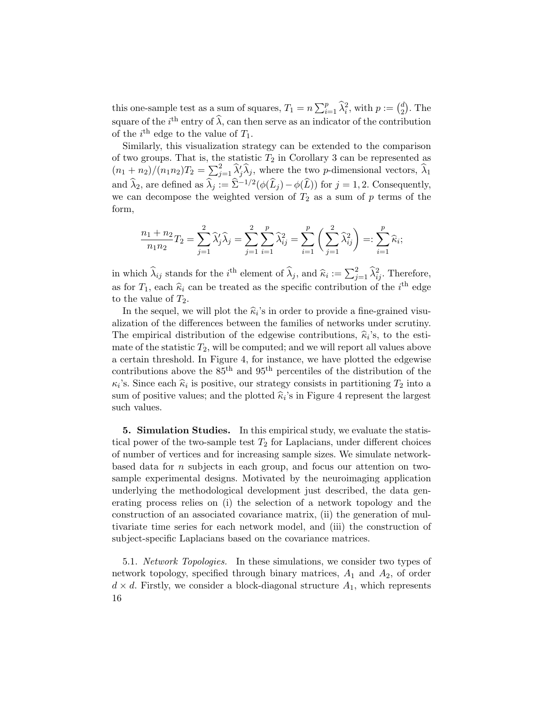this one-sample test as a sum of squares,  $T_1 = n \sum_{i=1}^p \hat{\lambda}_i^2$ , with  $p := \binom{d}{2}$  $_2^d$ ). The square of the  $i^{\text{th}}$  entry of  $\widehat{\lambda}$ , can then serve as an indicator of the contribution of the  $i^{\text{th}}$  edge to the value of  $T_1$ .

Similarly, this visualization strategy can be extended to the comparison of two groups. That is, the statistic  $T_2$  in Corollary [3](#page-13-0) can be represented as  $(n_1 + n_2)/(n_1 n_2)T_2 = \sum_{j=1}^2 \hat{\lambda}_j \hat{\lambda}_j$ , where the two p-dimensional vectors,  $\hat{\lambda}_1$ and  $\widehat{\lambda}_2$ , are defined as  $\widehat{\lambda}_j := \widehat{\Sigma}^{-1/2}(\phi(\widehat{L}_j) - \phi(\widehat{L}))$  for  $j = 1, 2$ . Consequently, we can decompose the weighted version of  $T_2$  as a sum of p terms of the form,

$$
\frac{n_1 + n_2}{n_1 n_2} T_2 = \sum_{j=1}^2 \widehat{\lambda}_j' \widehat{\lambda}_j = \sum_{j=1}^2 \sum_{i=1}^p \widehat{\lambda}_{ij}^2 = \sum_{i=1}^p \left( \sum_{j=1}^2 \widehat{\lambda}_{ij}^2 \right) =: \sum_{i=1}^p \widehat{\kappa}_i;
$$

in which  $\hat{\lambda}_{ij}$  stands for the i<sup>th</sup> element of  $\hat{\lambda}_j$ , and  $\hat{\kappa}_i := \sum_{j=1}^2 \hat{\lambda}_{ij}^2$ . Therefore, as for  $T_1$ , each  $\hat{\kappa}_i$  can be treated as the specific contribution of the  $i^{\text{th}}$  edge to the value of  $T_1$ . to the value of  $T_2$ .

In the sequel, we will plot the  $\hat{\kappa}_i$ 's in order to provide a fine-grained visu-<br>cation of the differences between the families of networks under serutiny alization of the differences between the families of networks under scrutiny. The empirical distribution of the edgewise contributions,  $\hat{\kappa}_i$ 's, to the esti-<br>mate of the statistic  $T$ , will be computed and we will repeat all values above mate of the statistic  $T_2$ , will be computed; and we will report all values above a certain threshold. In Figure [4,](#page-20-0) for instance, we have plotted the edgewise contributions above the  $85<sup>th</sup>$  and  $95<sup>th</sup>$  percentiles of the distribution of the  $\kappa_i$ 's. Since each  $\hat{\kappa}_i$  is positive, our strategy consists in partitioning  $T_2$  into a<br>sum of positive values; and the pletted  $\hat{\kappa}$ 's in Figure 4 represent the largest sum of positive values; and the plotted  $\hat{\kappa}_i$ 's in Figure [4](#page-20-0) represent the largest<br>
such values such values.

<span id="page-15-0"></span>5. Simulation Studies. In this empirical study, we evaluate the statistical power of the two-sample test  $T_2$  for Laplacians, under different choices of number of vertices and for increasing sample sizes. We simulate networkbased data for  $n$  subjects in each group, and focus our attention on twosample experimental designs. Motivated by the neuroimaging application underlying the methodological development just described, the data generating process relies on (i) the selection of a network topology and the construction of an associated covariance matrix, (ii) the generation of multivariate time series for each network model, and (iii) the construction of subject-specific Laplacians based on the covariance matrices.

5.1. Network Topologies. In these simulations, we consider two types of network topology, specified through binary matrices,  $A_1$  and  $A_2$ , of order  $d \times d$ . Firstly, we consider a block-diagonal structure  $A_1$ , which represents 16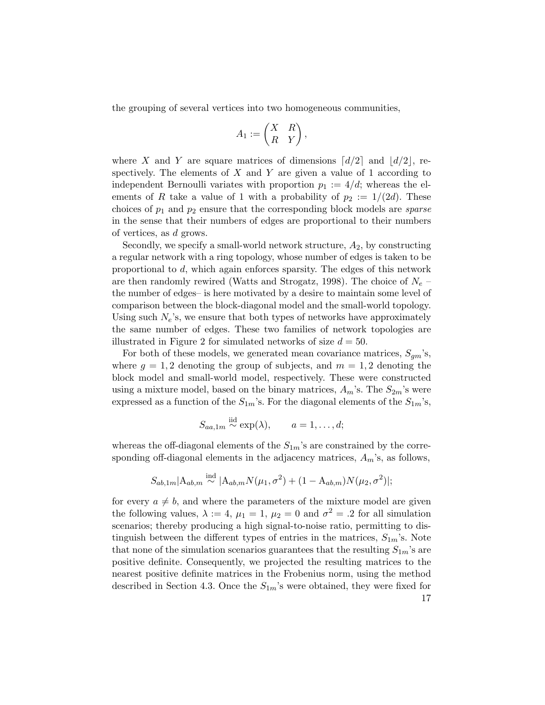the grouping of several vertices into two homogeneous communities,

$$
A_1 := \begin{pmatrix} X & R \\ R & Y \end{pmatrix},
$$

where X and Y are square matrices of dimensions  $\lceil d/2 \rceil$  and  $\lceil d/2 \rceil$ , respectively. The elements of  $X$  and  $Y$  are given a value of 1 according to independent Bernoulli variates with proportion  $p_1 := 4/d$ ; whereas the elements of R take a value of 1 with a probability of  $p_2 := 1/(2d)$ . These choices of  $p_1$  and  $p_2$  ensure that the corresponding block models are *sparse* in the sense that their numbers of edges are proportional to their numbers of vertices, as d grows.

Secondly, we specify a small-world network structure,  $A_2$ , by constructing a regular network with a ring topology, whose number of edges is taken to be proportional to d, which again enforces sparsity. The edges of this network are then randomly rewired [\(Watts and Strogatz,](#page-33-11) [1998\)](#page-33-11). The choice of  $N_e$  – the number of edges– is here motivated by a desire to maintain some level of comparison between the block-diagonal model and the small-world topology. Using such  $N_e$ 's, we ensure that both types of networks have approximately the same number of edges. These two families of network topologies are illustrated in Figure [2](#page-17-0) for simulated networks of size  $d = 50$ .

For both of these models, we generated mean covariance matrices,  $S_{\alpha m}$ 's, where  $q = 1, 2$  denoting the group of subjects, and  $m = 1, 2$  denoting the block model and small-world model, respectively. These were constructed using a mixture model, based on the binary matrices,  $A_m$ 's. The  $S_{2m}$ 's were expressed as a function of the  $S_{1m}$ 's. For the diagonal elements of the  $S_{1m}$ 's,

$$
S_{aa,1m} \stackrel{\text{iid}}{\sim} \exp(\lambda), \qquad a = 1, \ldots, d;
$$

whereas the off-diagonal elements of the  $S_{1m}$ 's are constrained by the corresponding off-diagonal elements in the adjacency matrices,  $A_m$ 's, as follows,

$$
S_{ab,1m}|A_{ab,m} \stackrel{\text{ind}}{\sim} |A_{ab,m}N(\mu_1, \sigma^2) + (1 - A_{ab,m})N(\mu_2, \sigma^2)|;
$$

for every  $a \neq b$ , and where the parameters of the mixture model are given the following values,  $\lambda := 4$ ,  $\mu_1 = 1$ ,  $\mu_2 = 0$  and  $\sigma^2 = .2$  for all simulation scenarios; thereby producing a high signal-to-noise ratio, permitting to distinguish between the different types of entries in the matrices,  $S_{1m}$ 's. Note that none of the simulation scenarios guarantees that the resulting  $S_{1m}$ 's are positive definite. Consequently, we projected the resulting matrices to the nearest positive definite matrices in the Frobenius norm, using the method described in Section [4.3.](#page-14-0) Once the  $S_{1m}$ 's were obtained, they were fixed for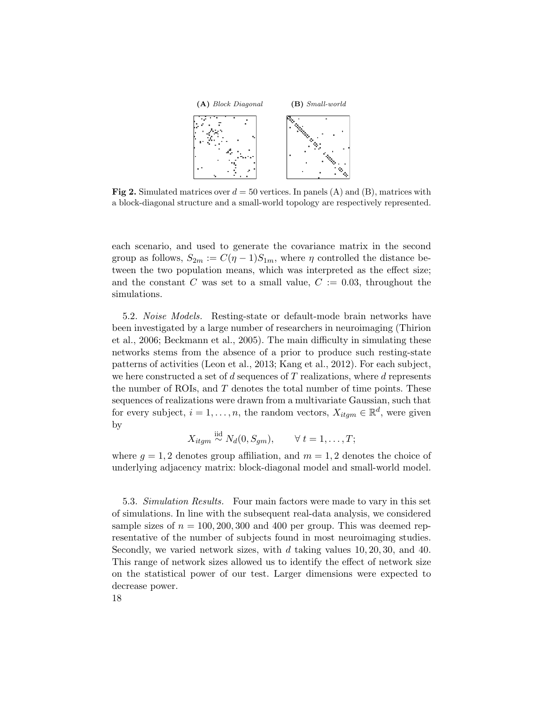<span id="page-17-0"></span>

**Fig 2.** Simulated matrices over  $d = 50$  vertices. In panels (A) and (B), matrices with a block-diagonal structure and a small-world topology are respectively represented.

each scenario, and used to generate the covariance matrix in the second group as follows,  $S_{2m} := C(\eta - 1)S_{1m}$ , where  $\eta$  controlled the distance between the two population means, which was interpreted as the effect size; and the constant C was set to a small value,  $C := 0.03$ , throughout the simulations.

5.2. Noise Models. Resting-state or default-mode brain networks have been investigated by a large number of researchers in neuroimaging [\(Thirion](#page-33-12) [et al.,](#page-33-12) [2006;](#page-33-12) [Beckmann et al.,](#page-30-15) [2005\)](#page-30-15). The main difficulty in simulating these networks stems from the absence of a prior to produce such resting-state patterns of activities [\(Leon et al.,](#page-32-18) [2013;](#page-32-18) [Kang et al.,](#page-32-19) [2012\)](#page-32-19). For each subject, we here constructed a set of  $d$  sequences of  $T$  realizations, where  $d$  represents the number of ROIs, and  $T$  denotes the total number of time points. These sequences of realizations were drawn from a multivariate Gaussian, such that for every subject,  $i = 1, ..., n$ , the random vectors,  $X_{itgm} \in \mathbb{R}^d$ , were given by

$$
X_{itgm} \stackrel{\text{iid}}{\sim} N_d(0, S_{gm}), \qquad \forall \ t = 1, \dots, T;
$$

where  $g = 1, 2$  denotes group affiliation, and  $m = 1, 2$  denotes the choice of underlying adjacency matrix: block-diagonal model and small-world model.

<span id="page-17-1"></span>5.3. Simulation Results. Four main factors were made to vary in this set of simulations. In line with the subsequent real-data analysis, we considered sample sizes of  $n = 100, 200, 300$  and 400 per group. This was deemed representative of the number of subjects found in most neuroimaging studies. Secondly, we varied network sizes, with  $d$  taking values 10, 20, 30, and 40. This range of network sizes allowed us to identify the effect of network size on the statistical power of our test. Larger dimensions were expected to decrease power.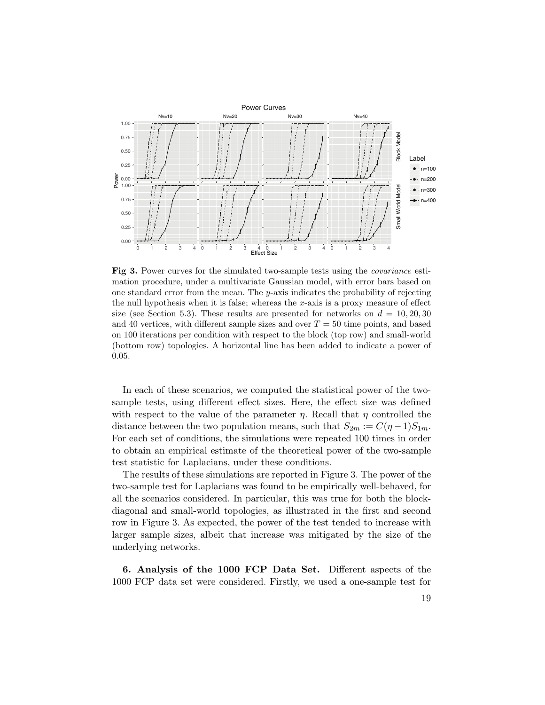<span id="page-18-1"></span>

Fig 3. Power curves for the simulated two-sample tests using the covariance estimation procedure, under a multivariate Gaussian model, with error bars based on one standard error from the mean. The y-axis indicates the probability of rejecting the null hypothesis when it is false; whereas the  $x$ -axis is a proxy measure of effect size (see Section [5.3\)](#page-17-1). These results are presented for networks on  $d = 10, 20, 30$ and 40 vertices, with different sample sizes and over  $T = 50$  time points, and based on 100 iterations per condition with respect to the block (top row) and small-world (bottom row) topologies. A horizontal line has been added to indicate a power of 0.05.

In each of these scenarios, we computed the statistical power of the twosample tests, using different effect sizes. Here, the effect size was defined with respect to the value of the parameter  $\eta$ . Recall that  $\eta$  controlled the distance between the two population means, such that  $S_{2m} := C(\eta - 1)S_{1m}$ . For each set of conditions, the simulations were repeated 100 times in order to obtain an empirical estimate of the theoretical power of the two-sample test statistic for Laplacians, under these conditions.

The results of these simulations are reported in Figure [3.](#page-18-1) The power of the two-sample test for Laplacians was found to be empirically well-behaved, for all the scenarios considered. In particular, this was true for both the blockdiagonal and small-world topologies, as illustrated in the first and second row in Figure [3.](#page-18-1) As expected, the power of the test tended to increase with larger sample sizes, albeit that increase was mitigated by the size of the underlying networks.

<span id="page-18-0"></span>6. Analysis of the 1000 FCP Data Set. Different aspects of the 1000 FCP data set were considered. Firstly, we used a one-sample test for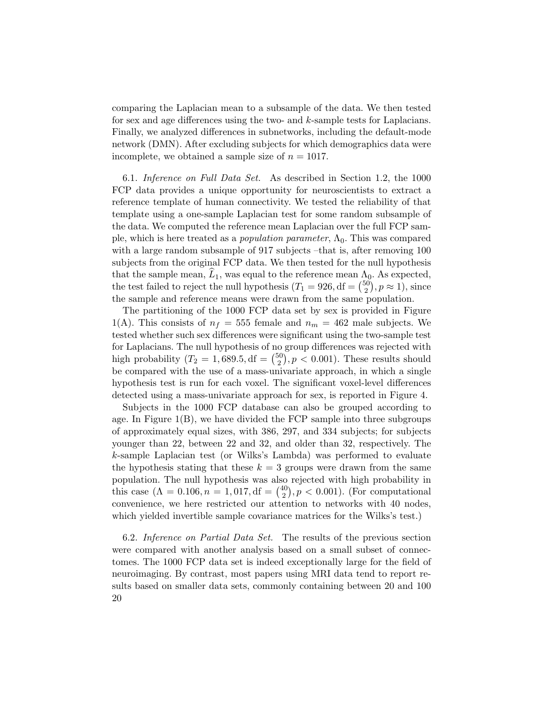comparing the Laplacian mean to a subsample of the data. We then tested for sex and age differences using the two- and k-sample tests for Laplacians. Finally, we analyzed differences in subnetworks, including the default-mode network (DMN). After excluding subjects for which demographics data were incomplete, we obtained a sample size of  $n = 1017$ .

6.1. Inference on Full Data Set. As described in Section [1.2,](#page-3-0) the 1000 FCP data provides a unique opportunity for neuroscientists to extract a reference template of human connectivity. We tested the reliability of that template using a one-sample Laplacian test for some random subsample of the data. We computed the reference mean Laplacian over the full FCP sample, which is here treated as a *population parameter*,  $\Lambda_0$ . This was compared with a large random subsample of 917 subjects –that is, after removing 100 subjects from the original FCP data. We then tested for the null hypothesis that the sample mean,  $L_1$ , was equal to the reference mean  $\Lambda_0$ . As expected, the test failed to reject the null hypothesis  $(T_1 = 926, df = \binom{50}{2}$  $_{2}^{50}), p \approx 1), \text{ since}$ the sample and reference means were drawn from the same population.

The partitioning of the 1000 FCP data set by sex is provided in Figure [1\(](#page-5-0)A). This consists of  $n_f = 555$  female and  $n_m = 462$  male subjects. We tested whether such sex differences were significant using the two-sample test for Laplacians. The null hypothesis of no group differences was rejected with high probability ( $T_2 = 1,689.5, df = {50 \choose 2}$  $\binom{50}{2}$ ,  $p < 0.001$ ). These results should be compared with the use of a mass-univariate approach, in which a single hypothesis test is run for each voxel. The significant voxel-level differences detected using a mass-univariate approach for sex, is reported in Figure [4.](#page-20-0)

Subjects in the 1000 FCP database can also be grouped according to age. In Figure  $1(B)$  $1(B)$ , we have divided the FCP sample into three subgroups of approximately equal sizes, with 386, 297, and 334 subjects; for subjects younger than 22, between 22 and 32, and older than 32, respectively. The k-sample Laplacian test (or Wilks's Lambda) was performed to evaluate the hypothesis stating that these  $k = 3$  groups were drawn from the same population. The null hypothesis was also rejected with high probability in this case  $(\Lambda = 0.106, n = 1, 017, df = \binom{40}{2}$  $\binom{10}{2}$ ,  $p < 0.001$ ). (For computational convenience, we here restricted our attention to networks with 40 nodes, which yielded invertible sample covariance matrices for the Wilks's test.)

6.2. Inference on Partial Data Set. The results of the previous section were compared with another analysis based on a small subset of connectomes. The 1000 FCP data set is indeed exceptionally large for the field of neuroimaging. By contrast, most papers using MRI data tend to report results based on smaller data sets, commonly containing between 20 and 100 20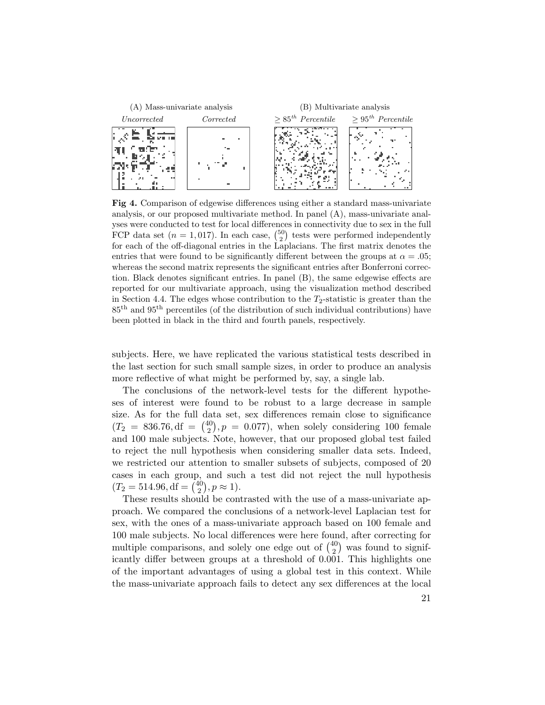<span id="page-20-0"></span>

Fig 4. Comparison of edgewise differences using either a standard mass-univariate analysis, or our proposed multivariate method. In panel (A), mass-univariate analyses were conducted to test for local differences in connectivity due to sex in the full FCP data set  $(n = 1, 017)$ . In each case,  $\binom{50}{2}$  tests were performed independently for each of the off-diagonal entries in the Laplacians. The first matrix denotes the entries that were found to be significantly different between the groups at  $\alpha = .05$ ; whereas the second matrix represents the significant entries after Bonferroni correction. Black denotes significant entries. In panel (B), the same edgewise effects are reported for our multivariate approach, using the visualization method described in Section [4.4.](#page-14-1) The edges whose contribution to the  $T_2$ -statistic is greater than the 85th and 95th percentiles (of the distribution of such individual contributions) have been plotted in black in the third and fourth panels, respectively.

subjects. Here, we have replicated the various statistical tests described in the last section for such small sample sizes, in order to produce an analysis more reflective of what might be performed by, say, a single lab.

The conclusions of the network-level tests for the different hypotheses of interest were found to be robust to a large decrease in sample size. As for the full data set, sex differences remain close to significance  $(T_2 = 836.76, df = {40 \choose 2}$  $\binom{10}{2}$ ,  $p = 0.077$ , when solely considering 100 female and 100 male subjects. Note, however, that our proposed global test failed to reject the null hypothesis when considering smaller data sets. Indeed, we restricted our attention to smaller subsets of subjects, composed of 20 cases in each group, and such a test did not reject the null hypothesis  $(T_2 = 514.96, df = \binom{40}{2}$  $_{2}^{40}), p \approx 1).$ 

These results should be contrasted with the use of a mass-univariate approach. We compared the conclusions of a network-level Laplacian test for sex, with the ones of a mass-univariate approach based on 100 female and 100 male subjects. No local differences were here found, after correcting for multiple comparisons, and solely one edge out of  $\binom{40}{2}$  $2^{10}$  was found to significantly differ between groups at a threshold of 0.001. This highlights one of the important advantages of using a global test in this context. While the mass-univariate approach fails to detect any sex differences at the local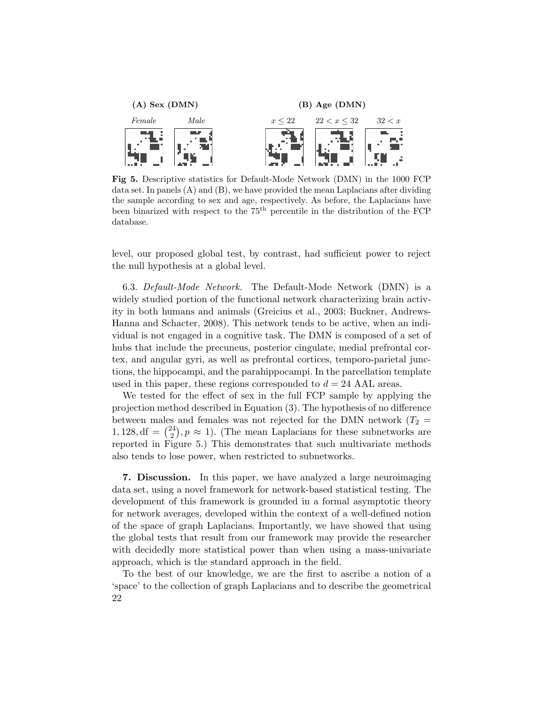<span id="page-21-1"></span>

Fig 5. Descriptive statistics for Default-Mode Network (DMN) in the 1000 FCP data set. In panels (A) and (B), we have provided the mean Laplacians after dividing the sample according to sex and age, respectively. As before, the Laplacians have been binarized with respect to the 75th percentile in the distribution of the FCP database.

level, our proposed global test, by contrast, had sufficient power to reject the null hypothesis at a global level.

6.3. Default-Mode Network. The Default-Mode Network (DMN) is a widely studied portion of the functional network characterizing brain activity in both humans and animals [\(Greicius et al.,](#page-31-15) [2003;](#page-31-15) [Buckner, Andrews-](#page-31-20)[Hanna and Schacter,](#page-31-20) [2008\)](#page-31-20). This network tends to be active, when an individual is not engaged in a cognitive task. The DMN is composed of a set of hubs that include the precuneus, posterior cingulate, medial prefrontal cortex, and angular gyri, as well as prefrontal cortices, temporo-parietal junctions, the hippocampi, and the parahippocampi. In the parcellation template used in this paper, these regions corresponded to  $d = 24$  AAL areas.

We tested for the effect of sex in the full FCP sample by applying the projection method described in Equation [\(3\)](#page-11-1). The hypothesis of no difference between males and females was not rejected for the DMN network ( $T_2$  =  $1, 128, df = \binom{24}{2}$  $\binom{24}{2}$ ,  $p \approx 1$ ). (The mean Laplacians for these subnetworks are reported in Figure [5.](#page-21-1)) This demonstrates that such multivariate methods also tends to lose power, when restricted to subnetworks.

<span id="page-21-0"></span>7. Discussion. In this paper, we have analyzed a large neuroimaging data set, using a novel framework for network-based statistical testing. The development of this framework is grounded in a formal asymptotic theory for network averages, developed within the context of a well-defined notion of the space of graph Laplacians. Importantly, we have showed that using the global tests that result from our framework may provide the researcher with decidedly more statistical power than when using a mass-univariate approach, which is the standard approach in the field.

To the best of our knowledge, we are the first to ascribe a notion of a 'space' to the collection of graph Laplacians and to describe the geometrical 22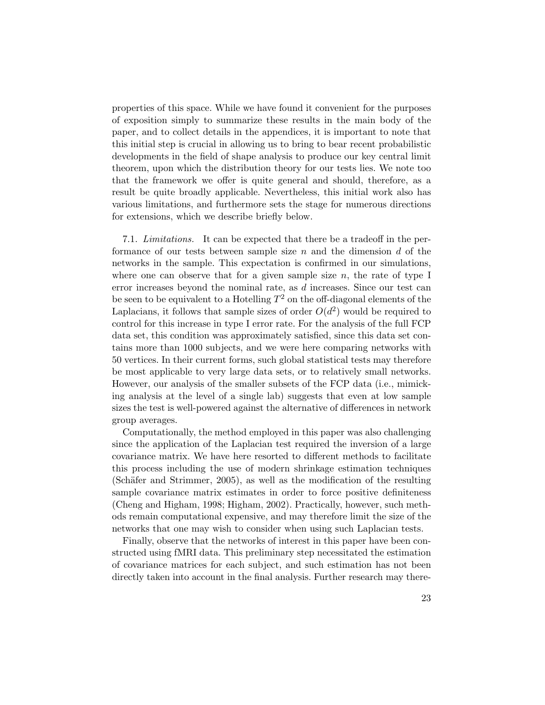properties of this space. While we have found it convenient for the purposes of exposition simply to summarize these results in the main body of the paper, and to collect details in the appendices, it is important to note that this initial step is crucial in allowing us to bring to bear recent probabilistic developments in the field of shape analysis to produce our key central limit theorem, upon which the distribution theory for our tests lies. We note too that the framework we offer is quite general and should, therefore, as a result be quite broadly applicable. Nevertheless, this initial work also has various limitations, and furthermore sets the stage for numerous directions for extensions, which we describe briefly below.

7.1. Limitations. It can be expected that there be a tradeoff in the performance of our tests between sample size n and the dimension  $d$  of the networks in the sample. This expectation is confirmed in our simulations, where one can observe that for a given sample size  $n$ , the rate of type I error increases beyond the nominal rate, as d increases. Since our test can be seen to be equivalent to a Hotelling  $T^2$  on the off-diagonal elements of the Laplacians, it follows that sample sizes of order  $O(d^2)$  would be required to control for this increase in type I error rate. For the analysis of the full FCP data set, this condition was approximately satisfied, since this data set contains more than 1000 subjects, and we were here comparing networks with 50 vertices. In their current forms, such global statistical tests may therefore be most applicable to very large data sets, or to relatively small networks. However, our analysis of the smaller subsets of the FCP data (i.e., mimicking analysis at the level of a single lab) suggests that even at low sample sizes the test is well-powered against the alternative of differences in network group averages.

Computationally, the method employed in this paper was also challenging since the application of the Laplacian test required the inversion of a large covariance matrix. We have here resorted to different methods to facilitate this process including the use of modern shrinkage estimation techniques  $(Schäfer and Strimmer, 2005)$  $(Schäfer and Strimmer, 2005)$ , as well as the modification of the resulting sample covariance matrix estimates in order to force positive definiteness [\(Cheng and Higham,](#page-31-19) [1998;](#page-31-19) [Higham,](#page-31-18) [2002\)](#page-31-18). Practically, however, such methods remain computational expensive, and may therefore limit the size of the networks that one may wish to consider when using such Laplacian tests.

Finally, observe that the networks of interest in this paper have been constructed using fMRI data. This preliminary step necessitated the estimation of covariance matrices for each subject, and such estimation has not been directly taken into account in the final analysis. Further research may there-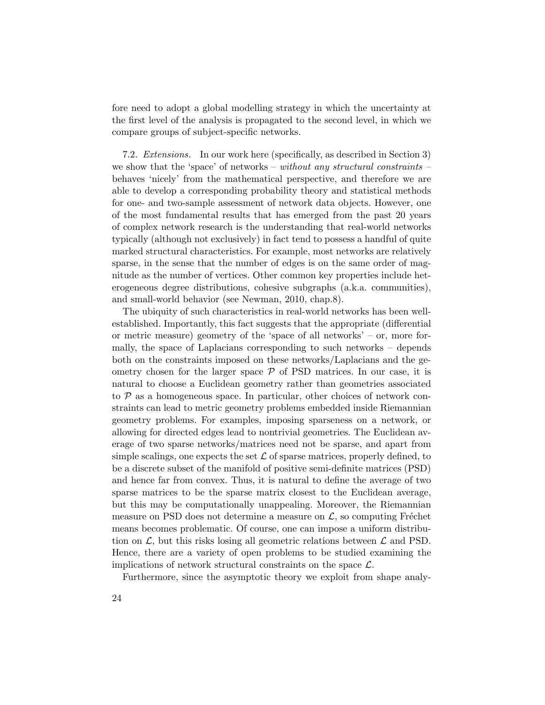fore need to adopt a global modelling strategy in which the uncertainty at the first level of the analysis is propagated to the second level, in which we compare groups of subject-specific networks.

7.2. Extensions. In our work here (specifically, as described in Section [3\)](#page-7-0) we show that the 'space' of networks – without any structural constraints – behaves 'nicely' from the mathematical perspective, and therefore we are able to develop a corresponding probability theory and statistical methods for one- and two-sample assessment of network data objects. However, one of the most fundamental results that has emerged from the past 20 years of complex network research is the understanding that real-world networks typically (although not exclusively) in fact tend to possess a handful of quite marked structural characteristics. For example, most networks are relatively sparse, in the sense that the number of edges is on the same order of magnitude as the number of vertices. Other common key properties include heterogeneous degree distributions, cohesive subgraphs (a.k.a. communities), and small-world behavior (see [Newman,](#page-32-15) [2010,](#page-32-15) chap.8).

The ubiquity of such characteristics in real-world networks has been wellestablished. Importantly, this fact suggests that the appropriate (differential or metric measure) geometry of the 'space of all networks' – or, more formally, the space of Laplacians corresponding to such networks – depends both on the constraints imposed on these networks/Laplacians and the geometry chosen for the larger space  $P$  of PSD matrices. In our case, it is natural to choose a Euclidean geometry rather than geometries associated to  $P$  as a homogeneous space. In particular, other choices of network constraints can lead to metric geometry problems embedded inside Riemannian geometry problems. For examples, imposing sparseness on a network, or allowing for directed edges lead to nontrivial geometries. The Euclidean average of two sparse networks/matrices need not be sparse, and apart from simple scalings, one expects the set  $\mathcal L$  of sparse matrices, properly defined, to be a discrete subset of the manifold of positive semi-definite matrices (PSD) and hence far from convex. Thus, it is natural to define the average of two sparse matrices to be the sparse matrix closest to the Euclidean average, but this may be computationally unappealing. Moreover, the Riemannian measure on PSD does not determine a measure on  $\mathcal{L}$ , so computing Fréchet means becomes problematic. Of course, one can impose a uniform distribution on  $\mathcal{L}$ , but this risks losing all geometric relations between  $\mathcal{L}$  and PSD. Hence, there are a variety of open problems to be studied examining the implications of network structural constraints on the space  $\mathcal{L}$ .

Furthermore, since the asymptotic theory we exploit from shape analy-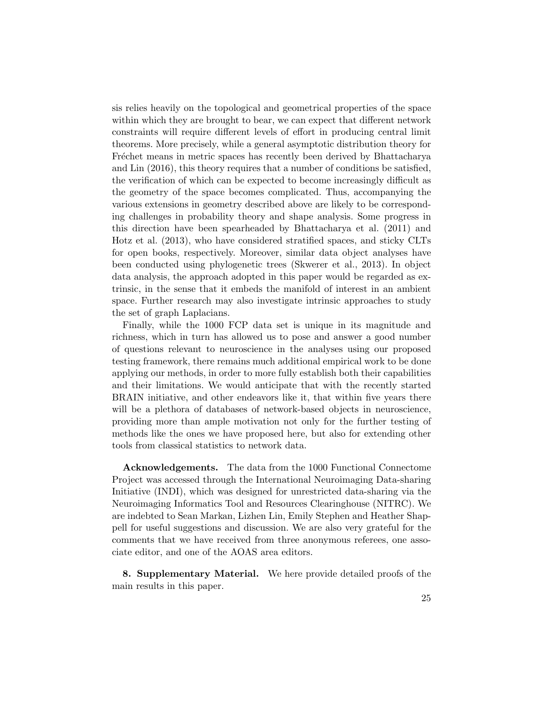sis relies heavily on the topological and geometrical properties of the space within which they are brought to bear, we can expect that different network constraints will require different levels of effort in producing central limit theorems. More precisely, while a general asymptotic distribution theory for Fréchet means in metric spaces has recently been derived by [Bhattacharya](#page-30-11) [and Lin](#page-30-11) [\(2016\)](#page-30-11), this theory requires that a number of conditions be satisfied, the verification of which can be expected to become increasingly difficult as the geometry of the space becomes complicated. Thus, accompanying the various extensions in geometry described above are likely to be corresponding challenges in probability theory and shape analysis. Some progress in this direction have been spearheaded by [Bhattacharya et al.](#page-30-16) [\(2011\)](#page-30-16) and [Hotz et al.](#page-31-21) [\(2013\)](#page-31-21), who have considered stratified spaces, and sticky CLTs for open books, respectively. Moreover, similar data object analyses have been conducted using phylogenetic trees [\(Skwerer et al.,](#page-32-20) [2013\)](#page-32-20). In object data analysis, the approach adopted in this paper would be regarded as extrinsic, in the sense that it embeds the manifold of interest in an ambient space. Further research may also investigate intrinsic approaches to study the set of graph Laplacians.

Finally, while the 1000 FCP data set is unique in its magnitude and richness, which in turn has allowed us to pose and answer a good number of questions relevant to neuroscience in the analyses using our proposed testing framework, there remains much additional empirical work to be done applying our methods, in order to more fully establish both their capabilities and their limitations. We would anticipate that with the recently started BRAIN initiative, and other endeavors like it, that within five years there will be a plethora of databases of network-based objects in neuroscience, providing more than ample motivation not only for the further testing of methods like the ones we have proposed here, but also for extending other tools from classical statistics to network data.

Acknowledgements. The data from the 1000 Functional Connectome Project was accessed through the International Neuroimaging Data-sharing Initiative (INDI), which was designed for unrestricted data-sharing via the Neuroimaging Informatics Tool and Resources Clearinghouse (NITRC). We are indebted to Sean Markan, Lizhen Lin, Emily Stephen and Heather Shappell for useful suggestions and discussion. We are also very grateful for the comments that we have received from three anonymous referees, one associate editor, and one of the AOAS area editors.

8. Supplementary Material. We here provide detailed proofs of the main results in this paper.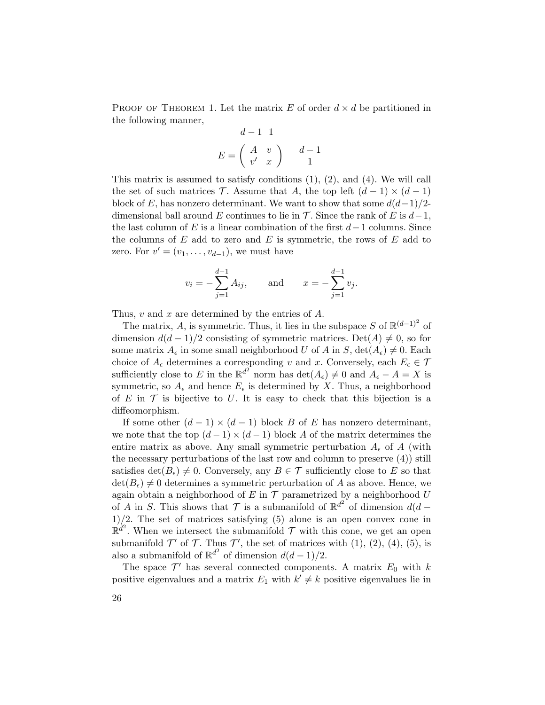PROOF OF THEOREM 1. Let the matrix E of order  $d \times d$  be partitioned in the following manner,

$$
d-1 \t1
$$
  

$$
E = \begin{pmatrix} A & v \\ v' & x \end{pmatrix} \t d-1
$$

This matrix is assumed to satisfy conditions  $(1)$ ,  $(2)$ , and  $(4)$ . We will call the set of such matrices T. Assume that A, the top left  $(d-1) \times (d-1)$ block of E, has nonzero determinant. We want to show that some  $d(d-1)/2$ dimensional ball around E continues to lie in  $\mathcal T$ . Since the rank of E is  $d-1$ , the last column of E is a linear combination of the first  $d-1$  columns. Since the columns of  $E$  add to zero and  $E$  is symmetric, the rows of  $E$  add to zero. For  $v' = (v_1, \ldots, v_{d-1})$ , we must have

$$
v_i = -\sum_{j=1}^{d-1} A_{ij}
$$
, and  $x = -\sum_{j=1}^{d-1} v_j$ .

Thus,  $v$  and  $x$  are determined by the entries of  $A$ .

The matrix, A, is symmetric. Thus, it lies in the subspace S of  $\mathbb{R}^{(d-1)^2}$  of dimension  $d(d-1)/2$  consisting of symmetric matrices. Det(A)  $\neq 0$ , so for some matrix  $A_{\epsilon}$  in some small neighborhood U of A in S,  $\det(A_{\epsilon}) \neq 0$ . Each choice of  $A_{\epsilon}$  determines a corresponding v and x. Conversely, each  $E_{\epsilon} \in \mathcal{T}$ sufficiently close to E in the  $\mathbb{R}^{d^2}$  norm has  $\det(A_\epsilon) \neq 0$  and  $A_\epsilon - A = X$  is symmetric, so  $A_{\epsilon}$  and hence  $E_{\epsilon}$  is determined by X. Thus, a neighborhood of E in  $\mathcal T$  is bijective to U. It is easy to check that this bijection is a diffeomorphism.

If some other  $(d-1) \times (d-1)$  block B of E has nonzero determinant, we note that the top  $(d-1) \times (d-1)$  block A of the matrix determines the entire matrix as above. Any small symmetric perturbation  $A_{\epsilon}$  of A (with the necessary perturbations of the last row and column to preserve (4)) still satisfies  $\det(B_{\epsilon}) \neq 0$ . Conversely, any  $B \in \mathcal{T}$  sufficiently close to E so that  $\det(B_{\epsilon})\neq 0$  determines a symmetric perturbation of A as above. Hence, we again obtain a neighborhood of E in  $\mathcal T$  parametrized by a neighborhood U of A in S. This shows that  $\mathcal T$  is a submanifold of  $\mathbb{R}^{d^2}$  of dimension  $d(d 1/2$ . The set of matrices satisfying (5) alone is an open convex cone in  $\mathbb{R}^{d^2}$ . When we intersect the submanifold  $\mathcal T$  with this cone, we get an open submanifold  $\mathcal{T}'$  of  $\mathcal{T}$ . Thus  $\mathcal{T}'$ , the set of matrices with (1), (2), (4), (5), is also a submanifold of  $\mathbb{R}^{d^2}$  of dimension  $d(d-1)/2$ .

The space  $\mathcal{T}'$  has several connected components. A matrix  $E_0$  with k positive eigenvalues and a matrix  $E_1$  with  $k' \neq k$  positive eigenvalues lie in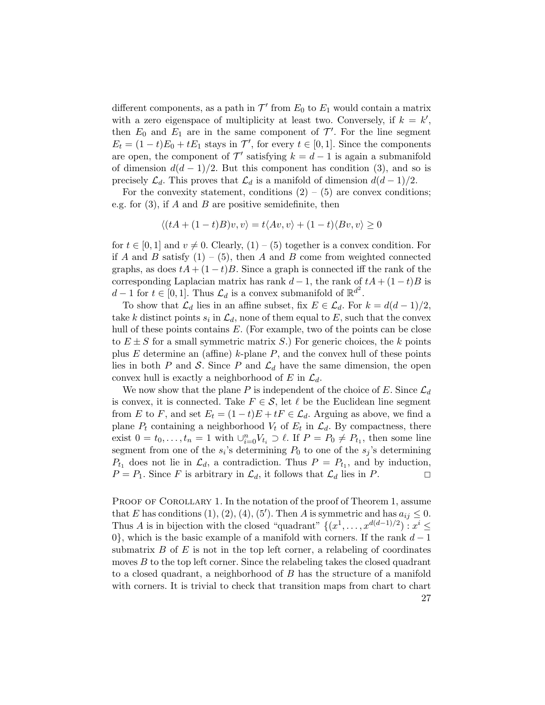different components, as a path in  $\mathcal{T}'$  from  $E_0$  to  $E_1$  would contain a matrix with a zero eigenspace of multiplicity at least two. Conversely, if  $k = k'$ , then  $E_0$  and  $E_1$  are in the same component of  $\mathcal{T}'$ . For the line segment  $E_t = (1-t)E_0 + tE_1$  stays in  $\mathcal{T}'$ , for every  $t \in [0,1]$ . Since the components are open, the component of  $\mathcal{T}'$  satisfying  $k = d - 1$  is again a submanifold of dimension  $d(d-1)/2$ . But this component has condition (3), and so is precisely  $\mathcal{L}_d$ . This proves that  $\mathcal{L}_d$  is a manifold of dimension  $d(d-1)/2$ .

For the convexity statement, conditions  $(2) - (5)$  are convex conditions; e.g. for  $(3)$ , if A and B are positive semidefinite, then

$$
\langle (tA + (1-t)B)v, v \rangle = t \langle Av, v \rangle + (1-t) \langle Bv, v \rangle \ge 0
$$

for  $t \in [0, 1]$  and  $v \neq 0$ . Clearly,  $(1) - (5)$  together is a convex condition. For if A and B satisfy  $(1) - (5)$ , then A and B come from weighted connected graphs, as does  $tA + (1-t)B$ . Since a graph is connected iff the rank of the corresponding Laplacian matrix has rank  $d-1$ , the rank of  $tA + (1-t)B$  is  $d-1$  for  $t \in [0,1]$ . Thus  $\mathcal{L}_d$  is a convex submanifold of  $\mathbb{R}^{d^2}$ .

To show that  $\mathcal{L}_d$  lies in an affine subset, fix  $E \in \mathcal{L}_d$ . For  $k = d(d-1)/2$ , take k distinct points  $s_i$  in  $\mathcal{L}_d$ , none of them equal to E, such that the convex hull of these points contains  $E$ . (For example, two of the points can be close to  $E \pm S$  for a small symmetric matrix S.) For generic choices, the k points plus E determine an (affine) k-plane  $P$ , and the convex hull of these points lies in both P and S. Since P and  $\mathcal{L}_d$  have the same dimension, the open convex hull is exactly a neighborhood of E in  $\mathcal{L}_d$ .

We now show that the plane P is independent of the choice of E. Since  $\mathcal{L}_d$ is convex, it is connected. Take  $F \in \mathcal{S}$ , let  $\ell$  be the Euclidean line segment from E to F, and set  $E_t = (1-t)E + tF \in \mathcal{L}_d$ . Arguing as above, we find a plane  $P_t$  containing a neighborhood  $V_t$  of  $E_t$  in  $\mathcal{L}_d$ . By compactness, there exist  $0 = t_0, \ldots, t_n = 1$  with  $\cup_{i=0}^n V_{t_i} \supset \ell$ . If  $P = P_0 \neq P_{t_1}$ , then some line segment from one of the  $s_i$ 's determining  $P_0$  to one of the  $s_j$ 's determining  $P_{t_1}$  does not lie in  $\mathcal{L}_d$ , a contradiction. Thus  $P = P_{t_1}$ , and by induction,  $P = P_1$ . Since F is arbitrary in  $\mathcal{L}_d$ , it follows that  $\mathcal{L}_d$  lies in P.

PROOF OF COROLLARY 1. In the notation of the proof of Theorem 1, assume that E has conditions (1), (2), (4), (5'). Then A is symmetric and has  $a_{ij} \leq 0$ . Thus A is in bijection with the closed "quadrant"  $\{(x^1, \ldots, x^{d(d-1)/2}) : x^i \leq$ 0}, which is the basic example of a manifold with corners. If the rank  $d-1$ submatrix  $B$  of  $E$  is not in the top left corner, a relabeling of coordinates moves B to the top left corner. Since the relabeling takes the closed quadrant to a closed quadrant, a neighborhood of B has the structure of a manifold with corners. It is trivial to check that transition maps from chart to chart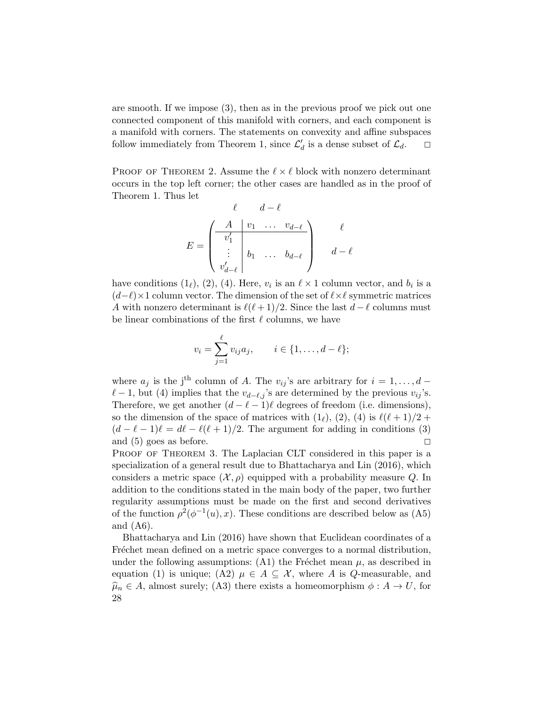are smooth. If we impose (3), then as in the previous proof we pick out one connected component of this manifold with corners, and each component is a manifold with corners. The statements on convexity and affine subspaces follow immediately from Theorem 1, since  $\mathcal{L}'_d$  is a dense subset of  $\mathcal{L}_d$ .  $\Box$ 

PROOF OF THEOREM 2. Assume the  $\ell \times \ell$  block with nonzero determinant occurs in the top left corner; the other cases are handled as in the proof of Theorem 1. Thus let

$$
E = \begin{pmatrix} \ell & d - \ell \\ v_1' \\ \vdots \\ v_{d - \ell}' \end{pmatrix} \begin{matrix} \ell \\ b_1 & \ldots & b_{d - \ell} \\ \vdots \\ b_{d - \ell} \end{matrix} \begin{matrix} \ell \\ d - \ell \end{matrix}
$$

have conditions  $(1_\ell)$ ,  $(2)$ ,  $(4)$ . Here,  $v_i$  is an  $\ell \times 1$  column vector, and  $b_i$  is a  $(d-\ell)\times 1$  column vector. The dimension of the set of  $\ell\times\ell$  symmetric matrices A with nonzero determinant is  $\ell(\ell + 1)/2$ . Since the last  $d - \ell$  columns must be linear combinations of the first  $\ell$  columns, we have

$$
v_i = \sum_{j=1}^{\ell} v_{ij} a_j
$$
,  $i \in \{1, ..., d - \ell\};$ 

where  $a_j$  is the j<sup>th</sup> column of A. The  $v_{ij}$ 's are arbitrary for  $i = 1, \ldots, d$  –  $\ell$  − 1, but (4) implies that the  $v_{d-\ell,j}$ 's are determined by the previous  $v_{ij}$ 's. Therefore, we get another  $(d - \ell - 1)\ell$  degrees of freedom (i.e. dimensions), so the dimension of the space of matrices with  $(1_\ell)$ ,  $(2)$ ,  $(4)$  is  $\ell(\ell+1)/2 +$  $(d - \ell - 1)\ell = d\ell - \ell(\ell + 1)/2$ . The argument for adding in conditions (3) and (5) goes as before.  $\square$ 

PROOF OF THEOREM 3. The Laplacian CLT considered in this paper is a specialization of a general result due to [Bhattacharya and Lin](#page-30-11) [\(2016\)](#page-30-11), which considers a metric space  $(\mathcal{X}, \rho)$  equipped with a probability measure Q. In addition to the conditions stated in the main body of the paper, two further regularity assumptions must be made on the first and second derivatives of the function  $\rho^2(\phi^{-1}(u),x)$ . These conditions are described below as (A5) and (A6).

[Bhattacharya and Lin](#page-30-11) [\(2016\)](#page-30-11) have shown that Euclidean coordinates of a Fréchet mean defined on a metric space converges to a normal distribution, under the following assumptions:  $(A1)$  the Fréchet mean  $\mu$ , as described in equation (1) is unique; (A2)  $\mu \in A \subseteq \mathcal{X}$ , where A is Q-measurable, and  $\hat{\mu}_n \in A$ , almost surely; (A3) there exists a homeomorphism  $\phi : A \to U$ , for 28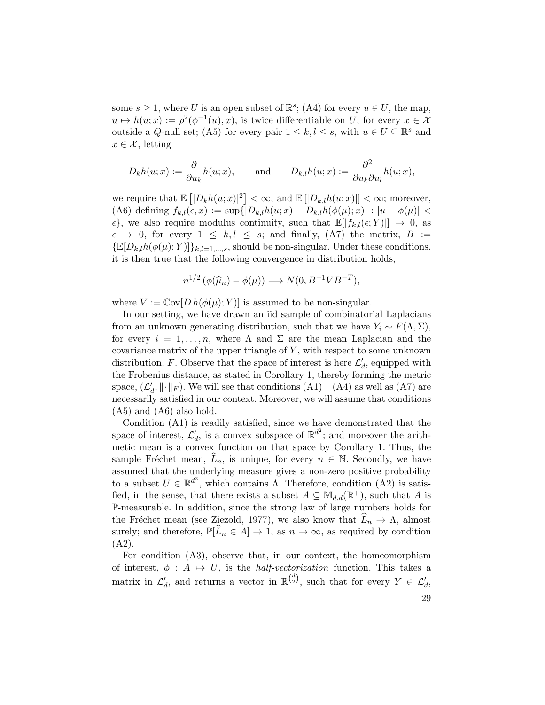some  $s \geq 1$ , where U is an open subset of  $\mathbb{R}^s$ ; (A4) for every  $u \in U$ , the map,  $u \mapsto h(u; x) := \rho^2(\phi^{-1}(u), x)$ , is twice differentiable on U, for every  $x \in \mathcal{X}$ outside a Q-null set; (A5) for every pair  $1 \leq k, l \leq s$ , with  $u \in U \subseteq \mathbb{R}^s$  and  $x \in \mathcal{X}$ , letting

$$
D_k h(u; x) := \frac{\partial}{\partial u_k} h(u; x),
$$
 and  $D_{k,l} h(u; x) := \frac{\partial^2}{\partial u_k \partial u_l} h(u; x),$ 

we require that  $\mathbb{E} [ |D_k h(u; x)|^2 ] < \infty$ , and  $\mathbb{E} [ |D_{k,l} h(u; x)| ] < \infty$ ; moreover, (A6) defining  $f_{k,l}(\epsilon, x) := \sup\{|D_{k,l}h(u; x) - D_{k,l}h(\phi(\mu); x)| : |u - \phi(\mu)| <$  $\{\epsilon\}$ , we also require modulus continuity, such that  $\mathbb{E}[|f_{k,l}(\epsilon; Y)||] \to 0$ , as  $\epsilon \rightarrow 0$ , for every  $1 \leq k, l \leq s$ ; and finally, (A7) the matrix,  $B :=$  ${\mathbb E}[D_{k,l}h(\phi(\mu);Y)]\}_{k,l=1,\ldots,s}$ , should be non-singular. Under these conditions, it is then true that the following convergence in distribution holds,

$$
n^{1/2} \left( \phi(\widehat{\mu}_n) - \phi(\mu) \right) \longrightarrow N(0, B^{-1} V B^{-T}),
$$

where  $V := \text{Cov}[D \, h(\phi(\mu); Y)]$  is assumed to be non-singular.

In our setting, we have drawn an iid sample of combinatorial Laplacians from an unknown generating distribution, such that we have  $Y_i \sim F(\Lambda, \Sigma)$ , for every  $i = 1, \ldots, n$ , where  $\Lambda$  and  $\Sigma$  are the mean Laplacian and the covariance matrix of the upper triangle of  $Y$ , with respect to some unknown distribution, F. Observe that the space of interest is here  $\mathcal{L}'_d$ , equipped with the Frobenius distance, as stated in Corollary 1, thereby forming the metric space,  $(\mathcal{L}'_d, \|\cdot\|_F)$ . We will see that conditions  $(A1) - (A4)$  as well as  $(A7)$  are necessarily satisfied in our context. Moreover, we will assume that conditions (A5) and (A6) also hold.

Condition (A1) is readily satisfied, since we have demonstrated that the space of interest,  $\mathcal{L}'_d$ , is a convex subspace of  $\mathbb{R}^{d^2}$ ; and moreover the arithmetic mean is a convex function on that space by Corollary 1. Thus, the sample Fréchet mean,  $\widehat{L}_n$ , is unique, for every  $n \in \mathbb{N}$ . Secondly, we have assumed that the underlying measure gives a non-zero positive probability to a subset  $U \in \mathbb{R}^{d^2}$ , which contains  $\Lambda$ . Therefore, condition  $(A2)$  is satisfied, in the sense, that there exists a subset  $A \subseteq M_{d,d}(\mathbb{R}^+)$ , such that A is P-measurable. In addition, since the strong law of large numbers holds for the Fréchet mean (see [Ziezold,](#page-33-10) [1977\)](#page-33-10), we also know that  $L_n \to \Lambda$ , almost surely; and therefore,  $\mathbb{P}[\tilde{L}_n \in A] \to 1$ , as  $n \to \infty$ , as required by condition (A2).

For condition (A3), observe that, in our context, the homeomorphism of interest,  $\phi : A \mapsto U$ , is the *half-vectorization* function. This takes a matrix in  $\mathcal{L}'_d$ , and returns a vector in  $\mathbb{R}^{\binom{d}{2}}$ , such that for every  $Y \in \mathcal{L}'_d$ ,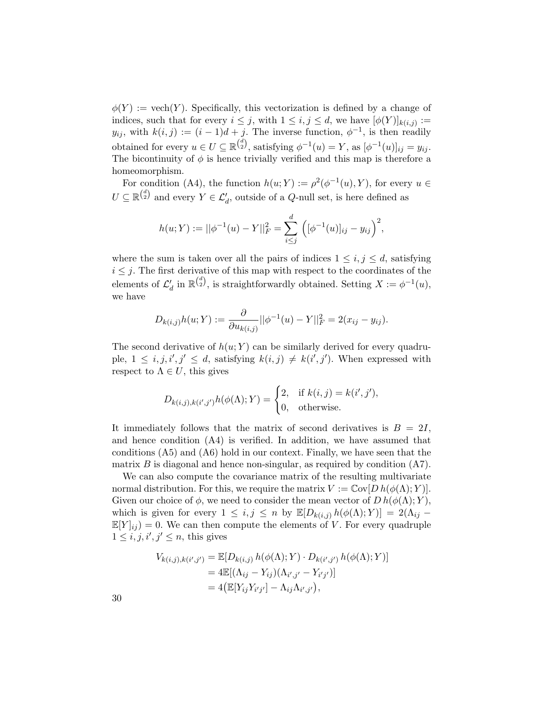$\phi(Y) := \text{vech}(Y)$ . Specifically, this vectorization is defined by a change of indices, such that for every  $i \leq j$ , with  $1 \leq i, j \leq d$ , we have  $[\phi(Y)]_{k(i,j)} :=$  $y_{ij}$ , with  $k(i, j) := (i - 1)d + j$ . The inverse function,  $\phi^{-1}$ , is then readily obtained for every  $u \in U \subseteq \mathbb{R}^{\binom{d}{2}}$ , satisfying  $\phi^{-1}(u) = Y$ , as  $[\phi^{-1}(u)]_{ij} = y_{ij}$ . The bicontinuity of  $\phi$  is hence trivially verified and this map is therefore a homeomorphism.

For condition (A4), the function  $h(u;Y) := \rho^2(\phi^{-1}(u), Y)$ , for every  $u \in$  $U \subseteq \mathbb{R}^{\binom{d}{2}}$  and every  $Y \in \mathcal{L}'_d$ , outside of a Q-null set, is here defined as

$$
h(u;Y) := ||\phi^{-1}(u) - Y||_F^2 = \sum_{i \leq j}^d \left( [\phi^{-1}(u)]_{ij} - y_{ij} \right)^2,
$$

where the sum is taken over all the pairs of indices  $1 \leq i, j \leq d$ , satisfying  $i \leq j$ . The first derivative of this map with respect to the coordinates of the elements of  $\mathcal{L}'_d$  in  $\mathbb{R}^{\binom{d}{2}}$ , is straightforwardly obtained. Setting  $X := \phi^{-1}(u)$ , we have

$$
D_{k(i,j)}h(u;Y) := \frac{\partial}{\partial u_{k(i,j)}} ||\phi^{-1}(u) - Y||_F^2 = 2(x_{ij} - y_{ij}).
$$

The second derivative of  $h(u; Y)$  can be similarly derived for every quadruple,  $1 \leq i, j, i', j' \leq d$ , satisfying  $k(i, j) \neq k(i', j')$ . When expressed with respect to  $\Lambda \in U$ , this gives

$$
D_{k(i,j),k(i',j')}h(\phi(\Lambda);Y) = \begin{cases} 2, & \text{if } k(i,j) = k(i',j'),\\ 0, & \text{otherwise.} \end{cases}
$$

It immediately follows that the matrix of second derivatives is  $B = 2I$ , and hence condition (A4) is verified. In addition, we have assumed that conditions (A5) and (A6) hold in our context. Finally, we have seen that the matrix  $B$  is diagonal and hence non-singular, as required by condition  $(A7)$ .

We can also compute the covariance matrix of the resulting multivariate normal distribution. For this, we require the matrix  $V := \text{Cov}[D h(\phi(\Lambda); Y)].$ Given our choice of  $\phi$ , we need to consider the mean vector of  $D h(\phi(\Lambda); Y)$ , which is given for every  $1 \leq i, j \leq n$  by  $\mathbb{E}[D_{k(i,j)} h(\phi(\Lambda); Y)] = 2(\Lambda_{ij} \mathbb{E}[Y]_{ij} = 0$ . We can then compute the elements of V. For every quadruple  $1 \leq i, j, i', j' \leq n$ , this gives

$$
V_{k(i,j),k(i',j')} = \mathbb{E}[D_{k(i,j)} h(\phi(\Lambda); Y) \cdot D_{k(i',j')} h(\phi(\Lambda); Y)]
$$
  
= 4 $\mathbb{E}[(\Lambda_{ij} - Y_{ij})(\Lambda_{i',j'} - Y_{i'j'})]$   
= 4( $\mathbb{E}[Y_{ij}Y_{i'j'}] - \Lambda_{ij}\Lambda_{i',j'}$ ),

30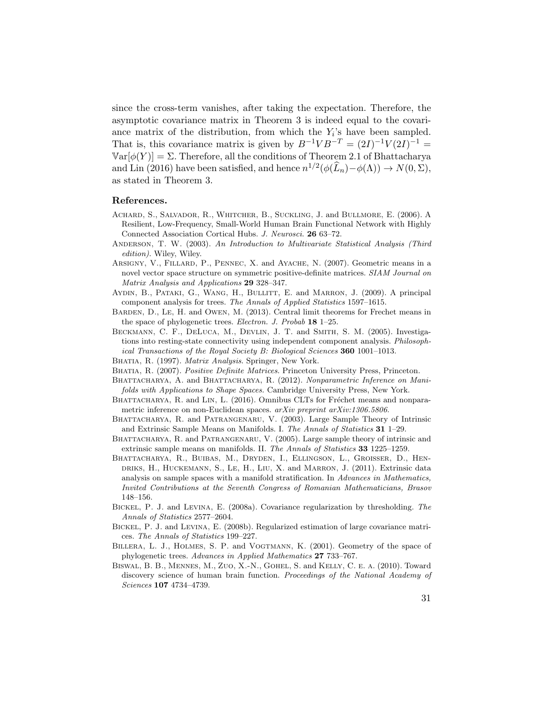since the cross-term vanishes, after taking the expectation. Therefore, the asymptotic covariance matrix in Theorem 3 is indeed equal to the covariance matrix of the distribution, from which the  $Y_i$ 's have been sampled. That is, this covariance matrix is given by  $B^{-1}VB^{-T} = (2I)^{-1}V(2I)^{-1} =$  $\text{Var}[\phi(Y)] = \Sigma$ . Therefore, all the conditions of Theorem 2.1 of [Bhattacharya](#page-30-11) [and Lin](#page-30-11) [\(2016\)](#page-30-11) have been satisfied, and hence  $n^{1/2}(\phi(\widehat{L}_n)-\phi(\Lambda)) \to N(0,\Sigma)$ , as stated in Theorem 3.

## References.

- <span id="page-30-1"></span>Achard, S., Salvador, R., Whitcher, B., Suckling, J. and Bullmore, E. (2006). A Resilient, Low-Frequency, Small-World Human Brain Functional Network with Highly Connected Association Cortical Hubs. J. Neurosci. 26 63–72.
- <span id="page-30-12"></span>ANDERSON, T. W. (2003). An Introduction to Multivariate Statistical Analysis (Third edition). Wiley, Wiley.
- <span id="page-30-6"></span>ARSIGNY, V., FILLARD, P., PENNEC, X. and AYACHE, N. (2007). Geometric means in a novel vector space structure on symmetric positive-definite matrices. SIAM Journal on Matrix Analysis and Applications 29 328–347.
- <span id="page-30-4"></span>AYDIN, B., PATAKI, G., WANG, H., BULLITT, E. and MARRON, J. (2009). A principal component analysis for trees. The Annals of Applied Statistics 1597–1615.
- <span id="page-30-3"></span>Barden, D., Le, H. and Owen, M. (2013). Central limit theorems for Frechet means in the space of phylogenetic trees. Electron. J. Probab 18 1–25.
- <span id="page-30-15"></span>BECKMANN, C. F., DELUCA, M., DEVLIN, J. T. and SMITH, S. M. (2005). Investigations into resting-state connectivity using independent component analysis. Philosophical Transactions of the Royal Society B: Biological Sciences 360 1001–1013.
- <span id="page-30-5"></span>BHATIA, R. (1997). Matrix Analysis. Springer, New York.
- <span id="page-30-10"></span>BHATIA, R. (2007). Positive Definite Matrices. Princeton University Press, Princeton.
- <span id="page-30-9"></span>BHATTACHARYA, A. and BHATTACHARYA, R. (2012). Nonparametric Inference on Manifolds with Applications to Shape Spaces. Cambridge University Press, New York.
- <span id="page-30-11"></span>BHATTACHARYA, R. and LIN, L. (2016). Omnibus CLTs for Fréchet means and nonparametric inference on non-Euclidean spaces. arXiv preprint arXiv:1306.5806.
- <span id="page-30-7"></span>Bhattacharya, R. and Patrangenaru, V. (2003). Large Sample Theory of Intrinsic and Extrinsic Sample Means on Manifolds. I. The Annals of Statistics 31 1–29.
- <span id="page-30-8"></span>BHATTACHARYA, R. and PATRANGENARU, V. (2005). Large sample theory of intrinsic and extrinsic sample means on manifolds. II. The Annals of Statistics 33 1225–1259.
- <span id="page-30-16"></span>Bhattacharya, R., Buibas, M., Dryden, I., Ellingson, L., Groisser, D., Hendriks, H., Huckemann, S., Le, H., Liu, X. and Marron, J. (2011). Extrinsic data analysis on sample spaces with a manifold stratification. In Advances in Mathematics, Invited Contributions at the Seventh Congress of Romanian Mathematicians, Brasov 148–156.
- <span id="page-30-14"></span>Bickel, P. J. and Levina, E. (2008a). Covariance regularization by thresholding. The Annals of Statistics 2577–2604.
- <span id="page-30-13"></span>Bickel, P. J. and Levina, E. (2008b). Regularized estimation of large covariance matrices. The Annals of Statistics 199–227.
- <span id="page-30-2"></span>Billera, L. J., Holmes, S. P. and Vogtmann, K. (2001). Geometry of the space of phylogenetic trees. Advances in Applied Mathematics 27 733–767.
- <span id="page-30-0"></span>Biswal, B. B., Mennes, M., Zuo, X.-N., Gohel, S. and Kelly, C. e. a. (2010). Toward discovery science of human brain function. Proceedings of the National Academy of Sciences 107 4734–4739.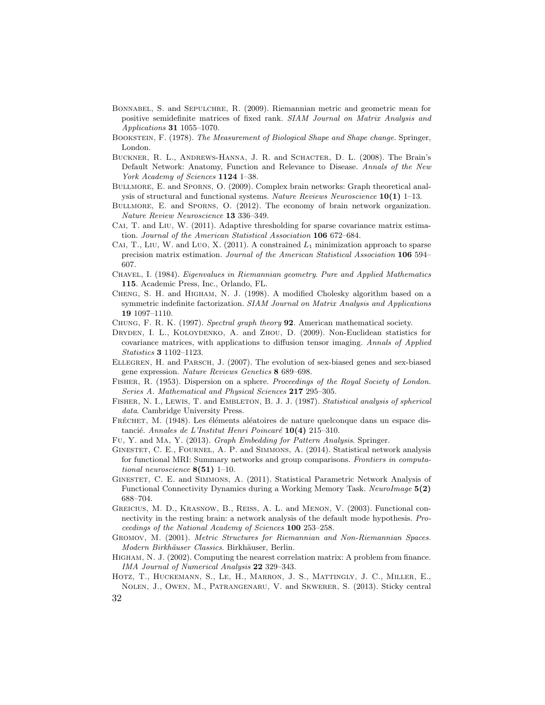- <span id="page-31-8"></span>Bonnabel, S. and Sepulchre, R. (2009). Riemannian metric and geometric mean for positive semidefinite matrices of fixed rank. SIAM Journal on Matrix Analysis and Applications 31 1055–1070.
- <span id="page-31-6"></span>Bookstein, F. (1978). The Measurement of Biological Shape and Shape change. Springer, London.
- <span id="page-31-20"></span>Buckner, R. L., Andrews-Hanna, J. R. and Schacter, D. L. (2008). The Brain's Default Network: Anatomy, Function and Relevance to Disease. Annals of the New York Academy of Sciences 1124 1–38.
- <span id="page-31-0"></span>Bullmore, E. and Sporns, O. (2009). Complex brain networks: Graph theoretical analysis of structural and functional systems. Nature Reviews Neuroscience  $10(1)$  1–13.
- <span id="page-31-14"></span>Bullmore, E. and Sporns, O. (2012). The economy of brain network organization. Nature Review Neuroscience 13 336–349.
- <span id="page-31-16"></span>CAI, T. and LIU, W. (2011). Adaptive thresholding for sparse covariance matrix estimation. Journal of the American Statistical Association 106 672–684.
- <span id="page-31-17"></span>CAI, T., LIU, W. and LUO, X. (2011). A constrained  $L_1$  minimization approach to sparse precision matrix estimation. Journal of the American Statistical Association 106 594– 607.
- <span id="page-31-11"></span>Chavel, I. (1984). Eigenvalues in Riemannian geometry. Pure and Applied Mathematics 115. Academic Press, Inc., Orlando, FL.
- <span id="page-31-19"></span>Cheng, S. H. and Higham, N. J. (1998). A modified Cholesky algorithm based on a symmetric indefinite factorization. SIAM Journal on Matrix Analysis and Applications 19 1097–1110.
- <span id="page-31-10"></span>CHUNG, F. R. K. (1997). Spectral graph theory 92. American mathematical society.
- <span id="page-31-9"></span>DRYDEN, I. L., KOLOYDENKO, A. and ZHOU, D. (2009). Non-Euclidean statistics for covariance matrices, with applications to diffusion tensor imaging. Annals of Applied Statistics 3 1102–1123.
- <span id="page-31-2"></span>Ellegren, H. and Parsch, J. (2007). The evolution of sex-biased genes and sex-biased gene expression. Nature Reviews Genetics 8 689–698.
- <span id="page-31-4"></span>FISHER, R. (1953). Dispersion on a sphere. Proceedings of the Royal Society of London. Series A. Mathematical and Physical Sciences 217 295–305.
- <span id="page-31-5"></span>FISHER, N. I., LEWIS, T. and EMBLETON, B. J. J. (1987). Statistical analysis of spherical data. Cambridge University Press.
- <span id="page-31-7"></span>FRÉCHET, M. (1948). Les éléments aléatoires de nature quelconque dans un espace distancié. Annales de L'Institut Henri Poincaré  $10(4)$  215–310.
- <span id="page-31-12"></span>Fu, Y. and Ma, Y. (2013). Graph Embedding for Pattern Analysis. Springer.
- <span id="page-31-3"></span>Ginestet, C. E., Fournel, A. P. and Simmons, A. (2014). Statistical network analysis for functional MRI: Summary networks and group comparisons. Frontiers in computational neuroscience  $8(51)$  1–10.
- <span id="page-31-1"></span>Ginestet, C. E. and Simmons, A. (2011). Statistical Parametric Network Analysis of Functional Connectivity Dynamics during a Working Memory Task. NeuroImage  $5(2)$ 688–704.
- <span id="page-31-15"></span>Greicius, M. D., Krasnow, B., Reiss, A. L. and Menon, V. (2003). Functional connectivity in the resting brain: a network analysis of the default mode hypothesis. Proceedings of the National Academy of Sciences 100 253–258.
- <span id="page-31-13"></span>Gromov, M. (2001). Metric Structures for Riemannian and Non-Riemannian Spaces. Modern Birkhäuser Classics. Birkhäuser, Berlin.
- <span id="page-31-18"></span>Higham, N. J. (2002). Computing the nearest correlation matrix: A problem from finance. IMA Journal of Numerical Analysis 22 329–343.
- <span id="page-31-21"></span>Hotz, T., Huckemann, S., Le, H., Marron, J. S., Mattingly, J. C., Miller, E., Nolen, J., Owen, M., Patrangenaru, V. and Skwerer, S. (2013). Sticky central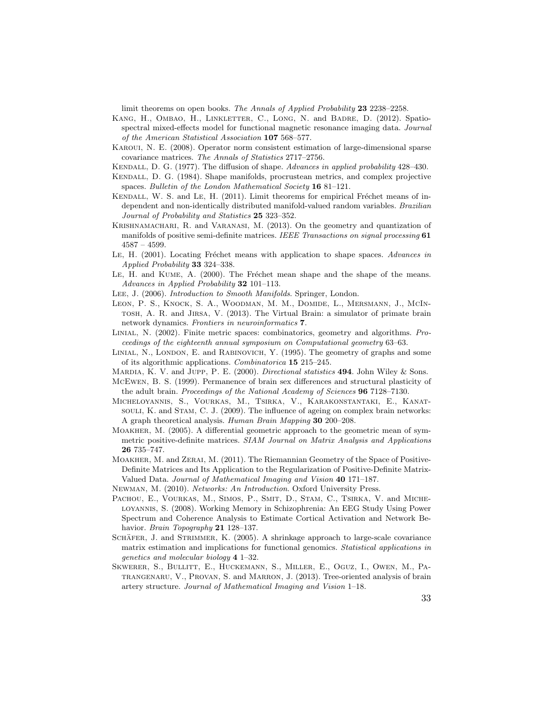limit theorems on open books. The Annals of Applied Probability 23 2238–2258.

- <span id="page-32-19"></span>KANG, H., OMBAO, H., LINKLETTER, C., LONG, N. and BADRE, D. (2012). Spatiospectral mixed-effects model for functional magnetic resonance imaging data. Journal of the American Statistical Association 107 568–577.
- <span id="page-32-17"></span>Karoui, N. E. (2008). Operator norm consistent estimation of large-dimensional sparse covariance matrices. The Annals of Statistics 2717–2756.
- <span id="page-32-4"></span>KENDALL, D. G. (1977). The diffusion of shape. Advances in applied probability 428–430.
- <span id="page-32-5"></span>Kendall, D. G. (1984). Shape manifolds, procrustean metrics, and complex projective spaces. Bulletin of the London Mathematical Society 16 81-121.
- <span id="page-32-8"></span>KENDALL, W. S. and LE, H. (2011). Limit theorems for empirical Fréchet means of independent and non-identically distributed manifold-valued random variables. Brazilian Journal of Probability and Statistics 25 323-352.
- <span id="page-32-11"></span>Krishnamachari, R. and Varanasi, M. (2013). On the geometry and quantization of manifolds of positive semi-definite matrices. IEEE Transactions on signal processing 61 4587 – 4599.
- <span id="page-32-10"></span>LE, H. (2001). Locating Fréchet means with application to shape spaces. Advances in Applied Probability 33 324–338.
- <span id="page-32-9"></span>LE, H. and KUME, A. (2000). The Fréchet mean shape and the shape of the means. Advances in Applied Probability 32 101–113.
- <span id="page-32-12"></span>LEE, J. (2006). *Introduction to Smooth Manifolds*. Springer, London.
- <span id="page-32-18"></span>Leon, P. S., Knock, S. A., Woodman, M. M., Domide, L., Mersmann, J., McIntosh, A. R. and Jirsa, V. (2013). The Virtual Brain: a simulator of primate brain network dynamics. Frontiers in neuroinformatics **7**.
- <span id="page-32-14"></span>Linial, N. (2002). Finite metric spaces: combinatorics, geometry and algorithms. Proceedings of the eighteenth annual symposium on Computational geometry 63–63.
- <span id="page-32-13"></span>LINIAL, N., LONDON, E. and RABINOVICH, Y. (1995). The geometry of graphs and some of its algorithmic applications. Combinatorica 15 215–245.
- <span id="page-32-3"></span>MARDIA, K. V. and JUPP, P. E. (2000). Directional statistics 494. John Wiley & Sons.
- <span id="page-32-2"></span>McEwen, B. S. (1999). Permanence of brain sex differences and structural plasticity of the adult brain. Proceedings of the National Academy of Sciences 96 7128–7130.
- <span id="page-32-1"></span>Micheloyannis, S., Vourkas, M., Tsirka, V., Karakonstantaki, E., Kanatsouli, K. and Stam, C. J. (2009). The influence of ageing on complex brain networks: A graph theoretical analysis. Human Brain Mapping 30 200–208.
- <span id="page-32-7"></span>Moakher, M. (2005). A differential geometric approach to the geometric mean of symmetric positive-definite matrices. SIAM Journal on Matrix Analysis and Applications 26 735–747.
- <span id="page-32-6"></span>Moakher, M. and Zerai, M. (2011). The Riemannian Geometry of the Space of Positive-Definite Matrices and Its Application to the Regularization of Positive-Definite Matrix-Valued Data. Journal of Mathematical Imaging and Vision 40 171–187.
- <span id="page-32-15"></span>Newman, M. (2010). Networks: An Introduction. Oxford University Press.
- <span id="page-32-0"></span>PACHOU, E., VOURKAS, M., SIMOS, P., SMIT, D., STAM, C., TSIRKA, V. and MICHEloyannis, S. (2008). Working Memory in Schizophrenia: An EEG Study Using Power Spectrum and Coherence Analysis to Estimate Cortical Activation and Network Behavior. Brain Topography 21 128-137.
- <span id="page-32-16"></span>SCHÄFER, J. and STRIMMER, K. (2005). A shrinkage approach to large-scale covariance matrix estimation and implications for functional genomics. Statistical applications in genetics and molecular biology 4 1–32.
- <span id="page-32-20"></span>SKWERER, S., BULLITT, E., HUCKEMANN, S., MILLER, E., OGUZ, I., OWEN, M., PAtrangenaru, V., Provan, S. and Marron, J. (2013). Tree-oriented analysis of brain artery structure. Journal of Mathematical Imaging and Vision 1–18.